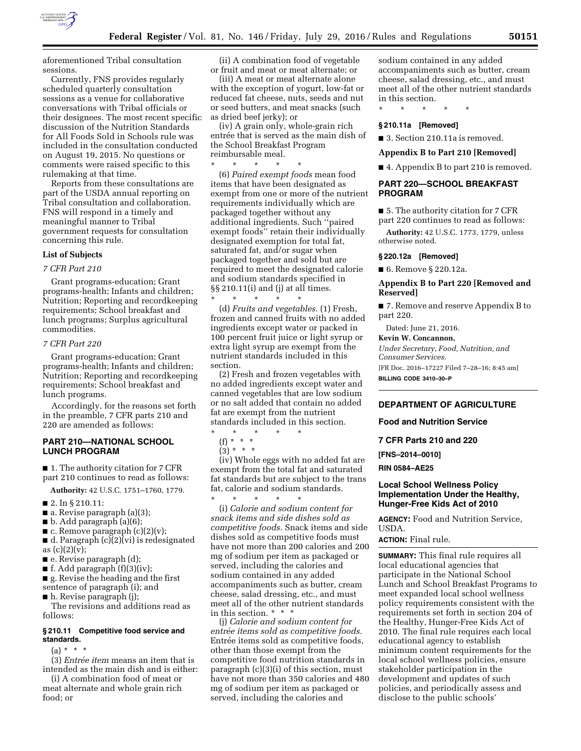

aforementioned Tribal consultation sessions.

Currently, FNS provides regularly scheduled quarterly consultation sessions as a venue for collaborative conversations with Tribal officials or their designees. The most recent specific discussion of the Nutrition Standards for All Foods Sold in Schools rule was included in the consultation conducted on August 19, 2015. No questions or comments were raised specific to this rulemaking at that time.

Reports from these consultations are part of the USDA annual reporting on Tribal consultation and collaboration. FNS will respond in a timely and meaningful manner to Tribal government requests for consultation concerning this rule.

# **List of Subjects**

# *7 CFR Part 210*

Grant programs-education; Grant programs-health; Infants and children; Nutrition; Reporting and recordkeeping requirements; School breakfast and lunch programs; Surplus agricultural commodities.

# *7 CFR Part 220*

Grant programs-education; Grant programs-health; Infants and children; Nutrition; Reporting and recordkeeping requirements; School breakfast and lunch programs.

Accordingly, for the reasons set forth in the preamble, 7 CFR parts 210 and 220 are amended as follows:

# **PART 210—NATIONAL SCHOOL LUNCH PROGRAM**

■ 1. The authority citation for 7 CFR part 210 continues to read as follows:

**Authority:** 42 U.S.C. 1751–1760, 1779.

- 2. In § 210.11:
- $\blacksquare$  a. Revise paragraph (a)(3);
- b. Add paragraph (a)(6);
- $\blacksquare$  c. Remove paragraph (c)(2)(v);

■ d. Paragraph (c)(2)(vi) is redesignated as  $(c)(2)(v)$ ;

- e. Revise paragraph (d);
- $\blacksquare$  f. Add paragraph  $(f)(3)(iv)$ ;

■ g. Revise the heading and the first sentence of paragraph (i); and

■ h. Revise paragraph (j);

The revisions and additions read as follows:

### **§ 210.11 Competitive food service and standards.**

 $(a) * * * *$ 

(3) *Entre´e item* means an item that is intended as the main dish and is either:

(i) A combination food of meat or meat alternate and whole grain rich food; or

(ii) A combination food of vegetable or fruit and meat or meat alternate; or

(iii) A meat or meat alternate alone with the exception of yogurt, low-fat or reduced fat cheese, nuts, seeds and nut or seed butters, and meat snacks (such as dried beef jerky); or

(iv) A grain only, whole-grain rich entrée that is served as the main dish of the School Breakfast Program reimbursable meal.

\* \* \* \* \*

(6) *Paired exempt foods* mean food items that have been designated as exempt from one or more of the nutrient requirements individually which are packaged together without any additional ingredients. Such ''paired exempt foods'' retain their individually designated exemption for total fat, saturated fat, and/or sugar when packaged together and sold but are required to meet the designated calorie and sodium standards specified in §§ 210.11(i) and (j) at all times.

\* \* \* \* \* (d) *Fruits and vegetables.* (1) Fresh, frozen and canned fruits with no added ingredients except water or packed in 100 percent fruit juice or light syrup or extra light syrup are exempt from the nutrient standards included in this section.

(2) Fresh and frozen vegetables with no added ingredients except water and canned vegetables that are low sodium or no salt added that contain no added fat are exempt from the nutrient standards included in this section.

\* \* \* \* \*

(f) \* \* \*  $(3) * * * *$ 

(iv) Whole eggs with no added fat are

\* \* \* \* \*

exempt from the total fat and saturated fat standards but are subject to the trans fat, calorie and sodium standards.

(i) *Calorie and sodium content for snack items and side dishes sold as competitive foods.* Snack items and side dishes sold as competitive foods must have not more than 200 calories and 200 mg of sodium per item as packaged or served, including the calories and sodium contained in any added accompaniments such as butter, cream cheese, salad dressing, etc., and must meet all of the other nutrient standards in this section. \* \* \*

(j) *Calorie and sodium content for*   $entrée items sold as competitive foods.$ Entrée items sold as competitive foods, other than those exempt from the competitive food nutrition standards in paragraph (c)(3)(i) of this section, must have not more than 350 calories and 480 mg of sodium per item as packaged or served, including the calories and

sodium contained in any added accompaniments such as butter, cream cheese, salad dressing, etc., and must meet all of the other nutrient standards in this section.

\* \* \* \* \*

### **§ 210.11a [Removed]**

■ 3. Section 210.11a is removed.

**Appendix B to Part 210 [Removed]** 

■ 4. Appendix B to part 210 is removed.

# **PART 220—SCHOOL BREAKFAST PROGRAM**

■ 5. The authority citation for 7 CFR part 220 continues to read as follows:

**Authority:** 42 U.S.C. 1773, 1779, unless otherwise noted.

# **§ 220.12a [Removed]**

■ 6. Remove § 220.12a.

# **Appendix B to Part 220 [Removed and Reserved]**

■ 7. Remove and reserve Appendix B to part 220.

Dated: June 21, 2016.

**Kevin W. Concannon,**  *Under Secretary, Food, Nutrition, and Consumer Services.*  [FR Doc. 2016–17227 Filed 7–28–16; 8:45 am] **BILLING CODE 3410–30–P** 

#### **DEPARTMENT OF AGRICULTURE**

**Food and Nutrition Service** 

**7 CFR Parts 210 and 220** 

**[FNS–2014–0010]** 

**RIN 0584–AE25** 

# **Local School Wellness Policy Implementation Under the Healthy, Hunger-Free Kids Act of 2010**

**AGENCY:** Food and Nutrition Service, USDA.

#### **ACTION:** Final rule.

**SUMMARY:** This final rule requires all local educational agencies that participate in the National School Lunch and School Breakfast Programs to meet expanded local school wellness policy requirements consistent with the requirements set forth in section 204 of the Healthy, Hunger-Free Kids Act of 2010. The final rule requires each local educational agency to establish minimum content requirements for the local school wellness policies, ensure stakeholder participation in the development and updates of such policies, and periodically assess and disclose to the public schools'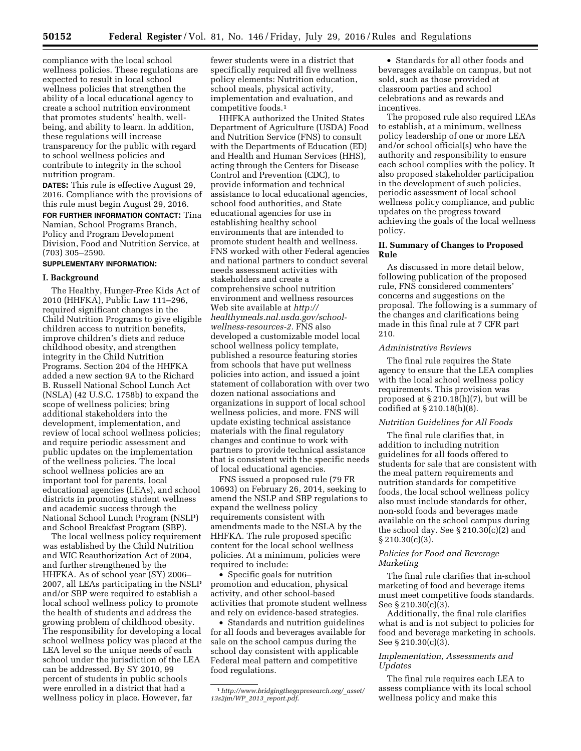compliance with the local school wellness policies. These regulations are expected to result in local school wellness policies that strengthen the ability of a local educational agency to create a school nutrition environment that promotes students' health, wellbeing, and ability to learn. In addition, these regulations will increase transparency for the public with regard to school wellness policies and contribute to integrity in the school nutrition program.

**DATES:** This rule is effective August 29, 2016. Compliance with the provisions of this rule must begin August 29, 2016. **FOR FURTHER INFORMATION CONTACT:** Tina Namian, School Programs Branch, Policy and Program Development Division, Food and Nutrition Service, at (703) 305–2590.

# **SUPPLEMENTARY INFORMATION:**

## **I. Background**

The Healthy, Hunger-Free Kids Act of 2010 (HHFKA), Public Law 111–296, required significant changes in the Child Nutrition Programs to give eligible children access to nutrition benefits, improve children's diets and reduce childhood obesity, and strengthen integrity in the Child Nutrition Programs. Section 204 of the HHFKA added a new section 9A to the Richard B. Russell National School Lunch Act (NSLA) (42 U.S.C. 1758b) to expand the scope of wellness policies; bring additional stakeholders into the development, implementation, and review of local school wellness policies; and require periodic assessment and public updates on the implementation of the wellness policies. The local school wellness policies are an important tool for parents, local educational agencies (LEAs), and school districts in promoting student wellness and academic success through the National School Lunch Program (NSLP) and School Breakfast Program (SBP).

The local wellness policy requirement was established by the Child Nutrition and WIC Reauthorization Act of 2004, and further strengthened by the HHFKA. As of school year (SY) 2006– 2007, all LEAs participating in the NSLP and/or SBP were required to establish a local school wellness policy to promote the health of students and address the growing problem of childhood obesity. The responsibility for developing a local school wellness policy was placed at the LEA level so the unique needs of each school under the jurisdiction of the LEA can be addressed. By SY 2010, 99 percent of students in public schools were enrolled in a district that had a wellness policy in place. However, far

fewer students were in a district that specifically required all five wellness policy elements: Nutrition education, school meals, physical activity, implementation and evaluation, and competitive foods.1

HHFKA authorized the United States Department of Agriculture (USDA) Food and Nutrition Service (FNS) to consult with the Departments of Education (ED) and Health and Human Services (HHS), acting through the Centers for Disease Control and Prevention (CDC), to provide information and technical assistance to local educational agencies, school food authorities, and State educational agencies for use in establishing healthy school environments that are intended to promote student health and wellness. FNS worked with other Federal agencies and national partners to conduct several needs assessment activities with stakeholders and create a comprehensive school nutrition environment and wellness resources Web site available at *[http://](http://healthymeals.nal.usda.gov/school-wellness-resources-2) [healthymeals.nal.usda.gov/school](http://healthymeals.nal.usda.gov/school-wellness-resources-2)[wellness-resources-2.](http://healthymeals.nal.usda.gov/school-wellness-resources-2)* FNS also developed a customizable model local school wellness policy template, published a resource featuring stories from schools that have put wellness policies into action, and issued a joint statement of collaboration with over two dozen national associations and organizations in support of local school wellness policies, and more. FNS will update existing technical assistance materials with the final regulatory changes and continue to work with partners to provide technical assistance that is consistent with the specific needs of local educational agencies.

FNS issued a proposed rule (79 FR 10693) on February 26, 2014, seeking to amend the NSLP and SBP regulations to expand the wellness policy requirements consistent with amendments made to the NSLA by the HHFKA. The rule proposed specific content for the local school wellness policies. At a minimum, policies were required to include:

• Specific goals for nutrition promotion and education, physical activity, and other school-based activities that promote student wellness and rely on evidence-based strategies.

• Standards and nutrition guidelines for all foods and beverages available for sale on the school campus during the school day consistent with applicable Federal meal pattern and competitive food regulations.

• Standards for all other foods and beverages available on campus, but not sold, such as those provided at classroom parties and school celebrations and as rewards and incentives.

The proposed rule also required LEAs to establish, at a minimum, wellness policy leadership of one or more LEA and/or school official(s) who have the authority and responsibility to ensure each school complies with the policy. It also proposed stakeholder participation in the development of such policies, periodic assessment of local school wellness policy compliance, and public updates on the progress toward achieving the goals of the local wellness policy.

# **II. Summary of Changes to Proposed Rule**

As discussed in more detail below, following publication of the proposed rule, FNS considered commenters' concerns and suggestions on the proposal. The following is a summary of the changes and clarifications being made in this final rule at 7 CFR part 210.

### *Administrative Reviews*

The final rule requires the State agency to ensure that the LEA complies with the local school wellness policy requirements. This provision was proposed at § 210.18(h)(7), but will be codified at § 210.18(h)(8).

# *Nutrition Guidelines for All Foods*

The final rule clarifies that, in addition to including nutrition guidelines for all foods offered to students for sale that are consistent with the meal pattern requirements and nutrition standards for competitive foods, the local school wellness policy also must include standards for other, non-sold foods and beverages made available on the school campus during the school day. See § 210.30(c)(2) and  $\S 210.30(c)(3)$ .

### *Policies for Food and Beverage Marketing*

The final rule clarifies that in-school marketing of food and beverage items must meet competitive foods standards. See § 210.30(c)(3).

Additionally, the final rule clarifies what is and is not subject to policies for food and beverage marketing in schools. See § 210.30(c)(3).

# *Implementation, Assessments and Updates*

The final rule requires each LEA to assess compliance with its local school wellness policy and make this

<sup>1</sup>*[http://www.bridgingthegapresearch.org/](http://www.bridgingthegapresearch.org/_asset/13s2jm/WP_2013_report.pdf)*\_*asset/ [13s2jm/WP](http://www.bridgingthegapresearch.org/_asset/13s2jm/WP_2013_report.pdf)*\_*2013*\_*report.pdf*.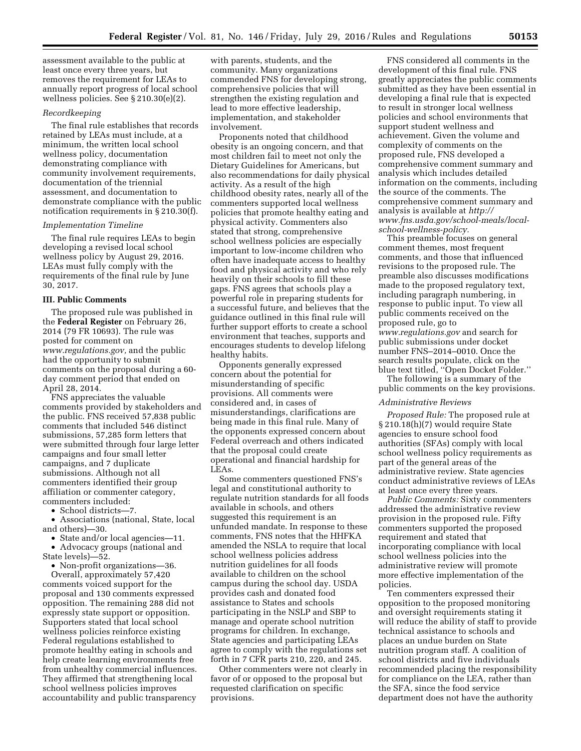assessment available to the public at least once every three years, but removes the requirement for LEAs to annually report progress of local school wellness policies. See § 210.30(e)(2).

# *Recordkeeping*

The final rule establishes that records retained by LEAs must include, at a minimum, the written local school wellness policy, documentation demonstrating compliance with community involvement requirements, documentation of the triennial assessment, and documentation to demonstrate compliance with the public notification requirements in § 210.30(f).

#### *Implementation Timeline*

The final rule requires LEAs to begin developing a revised local school wellness policy by August 29, 2016. LEAs must fully comply with the requirements of the final rule by June 30, 2017.

#### **III. Public Comments**

The proposed rule was published in the **Federal Register** on February 26, 2014 (79 FR 10693). The rule was posted for comment on *[www.regulations.gov,](http://www.regulations.gov)* and the public had the opportunity to submit comments on the proposal during a 60 day comment period that ended on April 28, 2014.

FNS appreciates the valuable comments provided by stakeholders and the public. FNS received 57,838 public comments that included 546 distinct submissions, 57,285 form letters that were submitted through four large letter campaigns and four small letter campaigns, and 7 duplicate submissions. Although not all commenters identified their group affiliation or commenter category, commenters included:

• School districts—7.

• Associations (national, State, local and others)—30.

• State and/or local agencies—11. • Advocacy groups (national and

State levels)—52.

• Non-profit organizations—36.

Overall, approximately 57,420 comments voiced support for the proposal and 130 comments expressed opposition. The remaining 288 did not expressly state support or opposition. Supporters stated that local school wellness policies reinforce existing Federal regulations established to promote healthy eating in schools and help create learning environments free from unhealthy commercial influences. They affirmed that strengthening local school wellness policies improves accountability and public transparency

with parents, students, and the community. Many organizations commended FNS for developing strong, comprehensive policies that will strengthen the existing regulation and lead to more effective leadership, implementation, and stakeholder involvement.

Proponents noted that childhood obesity is an ongoing concern, and that most children fail to meet not only the Dietary Guidelines for Americans, but also recommendations for daily physical activity. As a result of the high childhood obesity rates, nearly all of the commenters supported local wellness policies that promote healthy eating and physical activity. Commenters also stated that strong, comprehensive school wellness policies are especially important to low-income children who often have inadequate access to healthy food and physical activity and who rely heavily on their schools to fill these gaps. FNS agrees that schools play a powerful role in preparing students for a successful future, and believes that the guidance outlined in this final rule will further support efforts to create a school environment that teaches, supports and encourages students to develop lifelong healthy habits.

Opponents generally expressed concern about the potential for misunderstanding of specific provisions. All comments were considered and, in cases of misunderstandings, clarifications are being made in this final rule. Many of the opponents expressed concern about Federal overreach and others indicated that the proposal could create operational and financial hardship for LEAs.

Some commenters questioned FNS's legal and constitutional authority to regulate nutrition standards for all foods available in schools, and others suggested this requirement is an unfunded mandate. In response to these comments, FNS notes that the HHFKA amended the NSLA to require that local school wellness policies address nutrition guidelines for all foods available to children on the school campus during the school day. USDA provides cash and donated food assistance to States and schools participating in the NSLP and SBP to manage and operate school nutrition programs for children. In exchange, State agencies and participating LEAs agree to comply with the regulations set forth in 7 CFR parts 210, 220, and 245.

Other commenters were not clearly in favor of or opposed to the proposal but requested clarification on specific provisions.

FNS considered all comments in the development of this final rule. FNS greatly appreciates the public comments submitted as they have been essential in developing a final rule that is expected to result in stronger local wellness policies and school environments that support student wellness and achievement. Given the volume and complexity of comments on the proposed rule, FNS developed a comprehensive comment summary and analysis which includes detailed information on the comments, including the source of the comments. The comprehensive comment summary and analysis is available at *[http://](http://www.fns.usda.gov/school-meals/local-school-wellness-policy) [www.fns.usda.gov/school-meals/local](http://www.fns.usda.gov/school-meals/local-school-wellness-policy)[school-wellness-policy.](http://www.fns.usda.gov/school-meals/local-school-wellness-policy)* 

This preamble focuses on general comment themes, most frequent comments, and those that influenced revisions to the proposed rule. The preamble also discusses modifications made to the proposed regulatory text, including paragraph numbering, in response to public input. To view all public comments received on the proposed rule, go to *[www.regulations.gov](http://www.regulations.gov)* and search for public submissions under docket number FNS–2014–0010. Once the search results populate, click on the blue text titled, ''Open Docket Folder.''

The following is a summary of the public comments on the key provisions.

#### *Administrative Reviews*

*Proposed Rule:* The proposed rule at § 210.18(h)(7) would require State agencies to ensure school food authorities (SFAs) comply with local school wellness policy requirements as part of the general areas of the administrative review. State agencies conduct administrative reviews of LEAs at least once every three years.

*Public Comments:* Sixty commenters addressed the administrative review provision in the proposed rule. Fifty commenters supported the proposed requirement and stated that incorporating compliance with local school wellness policies into the administrative review will promote more effective implementation of the policies.

Ten commenters expressed their opposition to the proposed monitoring and oversight requirements stating it will reduce the ability of staff to provide technical assistance to schools and places an undue burden on State nutrition program staff. A coalition of school districts and five individuals recommended placing the responsibility for compliance on the LEA, rather than the SFA, since the food service department does not have the authority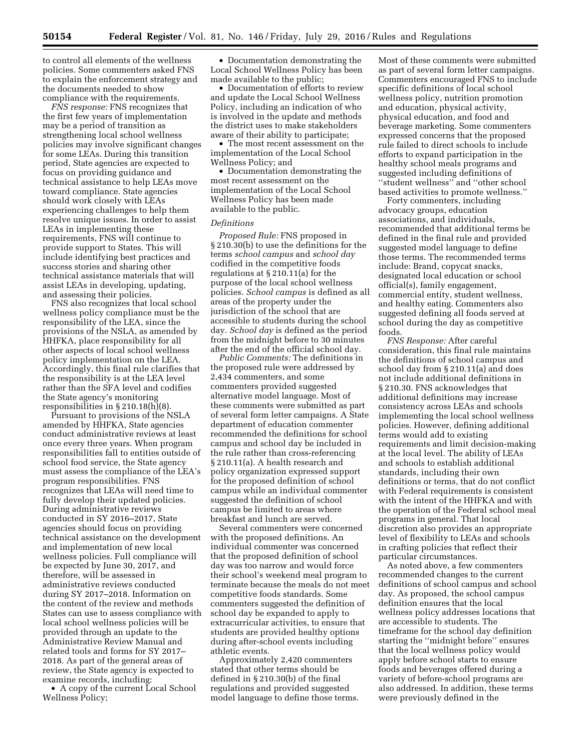to control all elements of the wellness policies. Some commenters asked FNS to explain the enforcement strategy and the documents needed to show compliance with the requirements.

*FNS response:* FNS recognizes that the first few years of implementation may be a period of transition as strengthening local school wellness policies may involve significant changes for some LEAs. During this transition period, State agencies are expected to focus on providing guidance and technical assistance to help LEAs move toward compliance. State agencies should work closely with LEAs experiencing challenges to help them resolve unique issues. In order to assist LEAs in implementing these requirements, FNS will continue to provide support to States. This will include identifying best practices and success stories and sharing other technical assistance materials that will assist LEAs in developing, updating, and assessing their policies.

FNS also recognizes that local school wellness policy compliance must be the responsibility of the LEA, since the provisions of the NSLA, as amended by HHFKA, place responsibility for all other aspects of local school wellness policy implementation on the LEA. Accordingly, this final rule clarifies that the responsibility is at the LEA level rather than the SFA level and codifies the State agency's monitoring responsibilities in § 210.18(h)(8).

Pursuant to provisions of the NSLA amended by HHFKA, State agencies conduct administrative reviews at least once every three years. When program responsibilities fall to entities outside of school food service, the State agency must assess the compliance of the LEA's program responsibilities. FNS recognizes that LEAs will need time to fully develop their updated policies. During administrative reviews conducted in SY 2016–2017, State agencies should focus on providing technical assistance on the development and implementation of new local wellness policies. Full compliance will be expected by June 30, 2017, and therefore, will be assessed in administrative reviews conducted during SY 2017–2018. Information on the content of the review and methods States can use to assess compliance with local school wellness policies will be provided through an update to the Administrative Review Manual and related tools and forms for SY 2017– 2018. As part of the general areas of review, the State agency is expected to examine records, including:

• A copy of the current Local School Wellness Policy;

• Documentation demonstrating the Local School Wellness Policy has been made available to the public;

• Documentation of efforts to review and update the Local School Wellness Policy, including an indication of who is involved in the update and methods the district uses to make stakeholders aware of their ability to participate;

The most recent assessment on the implementation of the Local School Wellness Policy; and

• Documentation demonstrating the most recent assessment on the implementation of the Local School Wellness Policy has been made available to the public.

#### *Definitions*

*Proposed Rule:* FNS proposed in § 210.30(b) to use the definitions for the terms *school campus* and *school day*  codified in the competitive foods regulations at § 210.11(a) for the purpose of the local school wellness policies. *School campus* is defined as all areas of the property under the jurisdiction of the school that are accessible to students during the school day. *School day* is defined as the period from the midnight before to 30 minutes after the end of the official school day.

*Public Comments:* The definitions in the proposed rule were addressed by 2,434 commenters, and some commenters provided suggested alternative model language. Most of these comments were submitted as part of several form letter campaigns. A State department of education commenter recommended the definitions for school campus and school day be included in the rule rather than cross-referencing § 210.11(a). A health research and policy organization expressed support for the proposed definition of school campus while an individual commenter suggested the definition of school campus be limited to areas where breakfast and lunch are served.

Several commenters were concerned with the proposed definitions. An individual commenter was concerned that the proposed definition of school day was too narrow and would force their school's weekend meal program to terminate because the meals do not meet competitive foods standards. Some commenters suggested the definition of school day be expanded to apply to extracurricular activities, to ensure that students are provided healthy options during after-school events including athletic events.

Approximately 2,420 commenters stated that other terms should be defined in § 210.30(b) of the final regulations and provided suggested model language to define those terms. Most of these comments were submitted as part of several form letter campaigns. Commenters encouraged FNS to include specific definitions of local school wellness policy, nutrition promotion and education, physical activity, physical education, and food and beverage marketing. Some commenters expressed concerns that the proposed rule failed to direct schools to include efforts to expand participation in the healthy school meals programs and suggested including definitions of ''student wellness'' and ''other school based activities to promote wellness.''

Forty commenters, including advocacy groups, education associations, and individuals, recommended that additional terms be defined in the final rule and provided suggested model language to define those terms. The recommended terms include: Brand, copycat snacks, designated local education or school official(s), family engagement, commercial entity, student wellness, and healthy eating. Commenters also suggested defining all foods served at school during the day as competitive foods.

*FNS Response:* After careful consideration, this final rule maintains the definitions of school campus and school day from § 210.11(a) and does not include additional definitions in § 210.30. FNS acknowledges that additional definitions may increase consistency across LEAs and schools implementing the local school wellness policies. However, defining additional terms would add to existing requirements and limit decision-making at the local level. The ability of LEAs and schools to establish additional standards, including their own definitions or terms, that do not conflict with Federal requirements is consistent with the intent of the HHFKA and with the operation of the Federal school meal programs in general. That local discretion also provides an appropriate level of flexibility to LEAs and schools in crafting policies that reflect their particular circumstances.

As noted above, a few commenters recommended changes to the current definitions of school campus and school day. As proposed, the school campus definition ensures that the local wellness policy addresses locations that are accessible to students. The timeframe for the school day definition starting the ''midnight before'' ensures that the local wellness policy would apply before school starts to ensure foods and beverages offered during a variety of before-school programs are also addressed. In addition, these terms were previously defined in the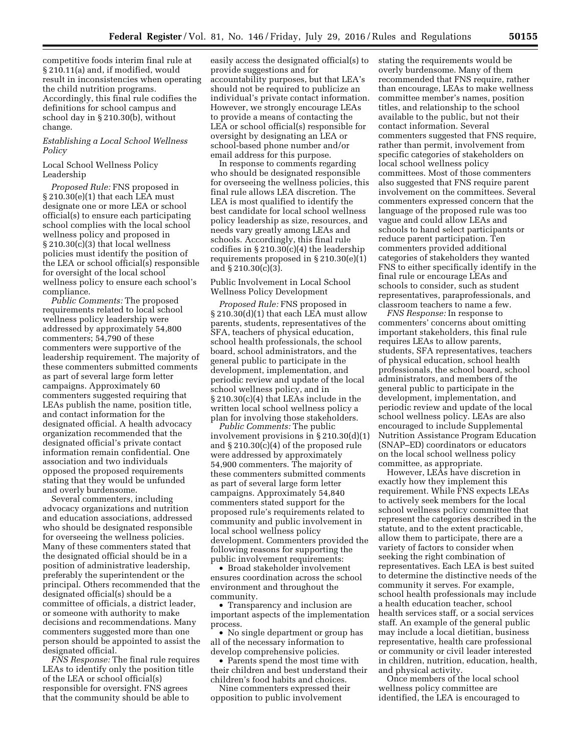competitive foods interim final rule at § 210.11(a) and, if modified, would result in inconsistencies when operating the child nutrition programs. Accordingly, this final rule codifies the definitions for school campus and school day in § 210.30(b), without change.

# *Establishing a Local School Wellness Policy*

## Local School Wellness Policy Leadership

*Proposed Rule:* FNS proposed in § 210.30(e)(1) that each LEA must designate one or more LEA or school official(s) to ensure each participating school complies with the local school wellness policy and proposed in § 210.30(c)(3) that local wellness policies must identify the position of the LEA or school official(s) responsible for oversight of the local school wellness policy to ensure each school's compliance.

*Public Comments:* The proposed requirements related to local school wellness policy leadership were addressed by approximately 54,800 commenters; 54,790 of these commenters were supportive of the leadership requirement. The majority of these commenters submitted comments as part of several large form letter campaigns. Approximately 60 commenters suggested requiring that LEAs publish the name, position title, and contact information for the designated official. A health advocacy organization recommended that the designated official's private contact information remain confidential. One association and two individuals opposed the proposed requirements stating that they would be unfunded and overly burdensome.

Several commenters, including advocacy organizations and nutrition and education associations, addressed who should be designated responsible for overseeing the wellness policies. Many of these commenters stated that the designated official should be in a position of administrative leadership, preferably the superintendent or the principal. Others recommended that the designated official(s) should be a committee of officials, a district leader, or someone with authority to make decisions and recommendations. Many commenters suggested more than one person should be appointed to assist the designated official.

*FNS Response:* The final rule requires LEAs to identify only the position title of the LEA or school official(s) responsible for oversight. FNS agrees that the community should be able to

easily access the designated official(s) to provide suggestions and for accountability purposes, but that LEA's should not be required to publicize an individual's private contact information. However, we strongly encourage LEAs to provide a means of contacting the LEA or school official(s) responsible for oversight by designating an LEA or school-based phone number and/or email address for this purpose.

In response to comments regarding who should be designated responsible for overseeing the wellness policies, this final rule allows LEA discretion. The LEA is most qualified to identify the best candidate for local school wellness policy leadership as size, resources, and needs vary greatly among LEAs and schools. Accordingly, this final rule codifies in § 210.30(c)(4) the leadership requirements proposed in § 210.30(e)(1) and § 210.30(c)(3).

Public Involvement in Local School Wellness Policy Development

*Proposed Rule:* FNS proposed in § 210.30(d)(1) that each LEA must allow parents, students, representatives of the SFA, teachers of physical education, school health professionals, the school board, school administrators, and the general public to participate in the development, implementation, and periodic review and update of the local school wellness policy, and in § 210.30(c)(4) that LEAs include in the written local school wellness policy a plan for involving those stakeholders.

*Public Comments:* The public involvement provisions in § 210.30(d)(1) and § 210.30(c)(4) of the proposed rule were addressed by approximately 54,900 commenters. The majority of these commenters submitted comments as part of several large form letter campaigns. Approximately 54,840 commenters stated support for the proposed rule's requirements related to community and public involvement in local school wellness policy development. Commenters provided the following reasons for supporting the public involvement requirements:

• Broad stakeholder involvement ensures coordination across the school environment and throughout the community.

• Transparency and inclusion are important aspects of the implementation process.

• No single department or group has all of the necessary information to develop comprehensive policies.

• Parents spend the most time with their children and best understand their children's food habits and choices.

Nine commenters expressed their opposition to public involvement

stating the requirements would be overly burdensome. Many of them recommended that FNS require, rather than encourage, LEAs to make wellness committee member's names, position titles, and relationship to the school available to the public, but not their contact information. Several commenters suggested that FNS require, rather than permit, involvement from specific categories of stakeholders on local school wellness policy committees. Most of those commenters also suggested that FNS require parent involvement on the committees. Several commenters expressed concern that the language of the proposed rule was too vague and could allow LEAs and schools to hand select participants or reduce parent participation. Ten commenters provided additional categories of stakeholders they wanted FNS to either specifically identify in the final rule or encourage LEAs and schools to consider, such as student representatives, paraprofessionals, and classroom teachers to name a few.

*FNS Response:* In response to commenters' concerns about omitting important stakeholders, this final rule requires LEAs to allow parents, students, SFA representatives, teachers of physical education, school health professionals, the school board, school administrators, and members of the general public to participate in the development, implementation, and periodic review and update of the local school wellness policy. LEAs are also encouraged to include Supplemental Nutrition Assistance Program Education (SNAP–ED) coordinators or educators on the local school wellness policy committee, as appropriate.

However, LEAs have discretion in exactly how they implement this requirement. While FNS expects LEAs to actively seek members for the local school wellness policy committee that represent the categories described in the statute, and to the extent practicable, allow them to participate, there are a variety of factors to consider when seeking the right combination of representatives. Each LEA is best suited to determine the distinctive needs of the community it serves. For example, school health professionals may include a health education teacher, school health services staff, or a social services staff. An example of the general public may include a local dietitian, business representative, health care professional or community or civil leader interested in children, nutrition, education, health, and physical activity.

Once members of the local school wellness policy committee are identified, the LEA is encouraged to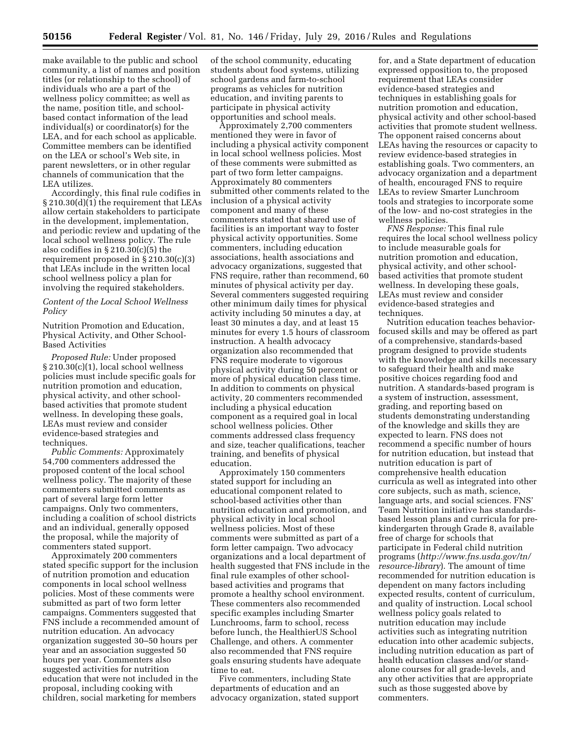make available to the public and school community, a list of names and position titles (or relationship to the school) of individuals who are a part of the wellness policy committee; as well as the name, position title, and schoolbased contact information of the lead individual(s) or coordinator(s) for the LEA, and for each school as applicable. Committee members can be identified on the LEA or school's Web site, in parent newsletters, or in other regular channels of communication that the LEA utilizes.

Accordingly, this final rule codifies in § 210.30(d)(1) the requirement that LEAs allow certain stakeholders to participate in the development, implementation, and periodic review and updating of the local school wellness policy. The rule also codifies in § 210.30(c)(5) the requirement proposed in § 210.30(c)(3) that LEAs include in the written local school wellness policy a plan for involving the required stakeholders.

# *Content of the Local School Wellness Policy*

Nutrition Promotion and Education, Physical Activity, and Other School-Based Activities

*Proposed Rule:* Under proposed § 210.30(c)(1), local school wellness policies must include specific goals for nutrition promotion and education, physical activity, and other schoolbased activities that promote student wellness. In developing these goals, LEAs must review and consider evidence-based strategies and techniques.

*Public Comments:* Approximately 54,700 commenters addressed the proposed content of the local school wellness policy. The majority of these commenters submitted comments as part of several large form letter campaigns. Only two commenters, including a coalition of school districts and an individual, generally opposed the proposal, while the majority of commenters stated support.

Approximately 200 commenters stated specific support for the inclusion of nutrition promotion and education components in local school wellness policies. Most of these comments were submitted as part of two form letter campaigns. Commenters suggested that FNS include a recommended amount of nutrition education. An advocacy organization suggested 30–50 hours per year and an association suggested 50 hours per year. Commenters also suggested activities for nutrition education that were not included in the proposal, including cooking with children, social marketing for members

of the school community, educating students about food systems, utilizing school gardens and farm-to-school programs as vehicles for nutrition education, and inviting parents to participate in physical activity opportunities and school meals.

Approximately 2,700 commenters mentioned they were in favor of including a physical activity component in local school wellness policies. Most of these comments were submitted as part of two form letter campaigns. Approximately 80 commenters submitted other comments related to the inclusion of a physical activity component and many of these commenters stated that shared use of facilities is an important way to foster physical activity opportunities. Some commenters, including education associations, health associations and advocacy organizations, suggested that FNS require, rather than recommend, 60 minutes of physical activity per day. Several commenters suggested requiring other minimum daily times for physical activity including 50 minutes a day, at least 30 minutes a day, and at least 15 minutes for every 1.5 hours of classroom instruction. A health advocacy organization also recommended that FNS require moderate to vigorous physical activity during 50 percent or more of physical education class time. In addition to comments on physical activity, 20 commenters recommended including a physical education component as a required goal in local school wellness policies. Other comments addressed class frequency and size, teacher qualifications, teacher training, and benefits of physical education.

Approximately 150 commenters stated support for including an educational component related to school-based activities other than nutrition education and promotion, and physical activity in local school wellness policies. Most of these comments were submitted as part of a form letter campaign. Two advocacy organizations and a local department of health suggested that FNS include in the final rule examples of other schoolbased activities and programs that promote a healthy school environment. These commenters also recommended specific examples including Smarter Lunchrooms, farm to school, recess before lunch, the HealthierUS School Challenge, and others. A commenter also recommended that FNS require goals ensuring students have adequate time to eat.

Five commenters, including State departments of education and an advocacy organization, stated support

for, and a State department of education expressed opposition to, the proposed requirement that LEAs consider evidence-based strategies and techniques in establishing goals for nutrition promotion and education, physical activity and other school-based activities that promote student wellness. The opponent raised concerns about LEAs having the resources or capacity to review evidence-based strategies in establishing goals. Two commenters, an advocacy organization and a department of health, encouraged FNS to require LEAs to review Smarter Lunchroom tools and strategies to incorporate some of the low- and no-cost strategies in the wellness policies.

*FNS Response:* This final rule requires the local school wellness policy to include measurable goals for nutrition promotion and education, physical activity, and other schoolbased activities that promote student wellness. In developing these goals, LEAs must review and consider evidence-based strategies and techniques.

Nutrition education teaches behaviorfocused skills and may be offered as part of a comprehensive, standards-based program designed to provide students with the knowledge and skills necessary to safeguard their health and make positive choices regarding food and nutrition. A standards-based program is a system of instruction, assessment, grading, and reporting based on students demonstrating understanding of the knowledge and skills they are expected to learn. FNS does not recommend a specific number of hours for nutrition education, but instead that nutrition education is part of comprehensive health education curricula as well as integrated into other core subjects, such as math, science, language arts, and social sciences. FNS' Team Nutrition initiative has standardsbased lesson plans and curricula for prekindergarten through Grade 8, available free of charge for schools that participate in Federal child nutrition programs (*[http://www.fns.usda.gov/tn/](http://www.fns.usda.gov/tn/resource-library) [resource-library](http://www.fns.usda.gov/tn/resource-library)*). The amount of time recommended for nutrition education is dependent on many factors including expected results, content of curriculum, and quality of instruction. Local school wellness policy goals related to nutrition education may include activities such as integrating nutrition education into other academic subjects, including nutrition education as part of health education classes and/or standalone courses for all grade-levels, and any other activities that are appropriate such as those suggested above by commenters.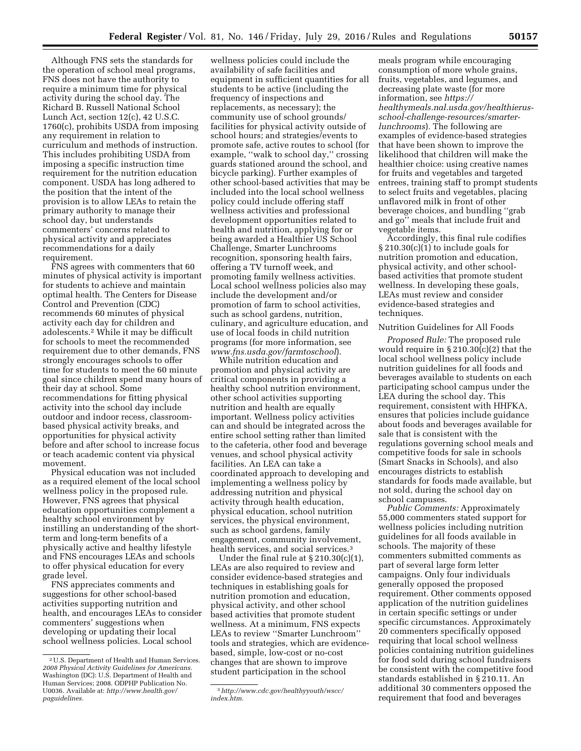wellness policies could include the

Although FNS sets the standards for the operation of school meal programs, FNS does not have the authority to require a minimum time for physical activity during the school day. The Richard B. Russell National School Lunch Act, section 12(c), 42 U.S.C. 1760(c), prohibits USDA from imposing any requirement in relation to curriculum and methods of instruction. This includes prohibiting USDA from imposing a specific instruction time requirement for the nutrition education component. USDA has long adhered to the position that the intent of the provision is to allow LEAs to retain the primary authority to manage their school day, but understands commenters' concerns related to physical activity and appreciates recommendations for a daily requirement.

FNS agrees with commenters that 60 minutes of physical activity is important for students to achieve and maintain optimal health. The Centers for Disease Control and Prevention (CDC) recommends 60 minutes of physical activity each day for children and adolescents.2 While it may be difficult for schools to meet the recommended requirement due to other demands, FNS strongly encourages schools to offer time for students to meet the 60 minute goal since children spend many hours of their day at school. Some recommendations for fitting physical activity into the school day include outdoor and indoor recess, classroombased physical activity breaks, and opportunities for physical activity before and after school to increase focus or teach academic content via physical movement.

Physical education was not included as a required element of the local school wellness policy in the proposed rule. However, FNS agrees that physical education opportunities complement a healthy school environment by instilling an understanding of the shortterm and long-term benefits of a physically active and healthy lifestyle and FNS encourages LEAs and schools to offer physical education for every grade level.

FNS appreciates comments and suggestions for other school-based activities supporting nutrition and health, and encourages LEAs to consider commenters' suggestions when developing or updating their local school wellness policies. Local school

availability of safe facilities and equipment in sufficient quantities for all students to be active (including the frequency of inspections and replacements, as necessary); the community use of school grounds/ facilities for physical activity outside of school hours; and strategies/events to promote safe, active routes to school (for example, "walk to school day," crossing guards stationed around the school, and bicycle parking). Further examples of other school-based activities that may be included into the local school wellness policy could include offering staff wellness activities and professional development opportunities related to health and nutrition, applying for or being awarded a Healthier US School Challenge, Smarter Lunchrooms recognition, sponsoring health fairs, offering a TV turnoff week, and promoting family wellness activities. Local school wellness policies also may include the development and/or promotion of farm to school activities, such as school gardens, nutrition, culinary, and agriculture education, and use of local foods in child nutrition programs (for more information, see *[www.fns.usda.gov/farmtoschool](http://www.fns.usda.gov/farmtoschool)*).

While nutrition education and promotion and physical activity are critical components in providing a healthy school nutrition environment, other school activities supporting nutrition and health are equally important. Wellness policy activities can and should be integrated across the entire school setting rather than limited to the cafeteria, other food and beverage venues, and school physical activity facilities. An LEA can take a coordinated approach to developing and implementing a wellness policy by addressing nutrition and physical activity through health education, physical education, school nutrition services, the physical environment, such as school gardens, family engagement, community involvement, health services, and social services.<sup>3</sup>

Under the final rule at § 210.30(c)(1), LEAs are also required to review and consider evidence-based strategies and techniques in establishing goals for nutrition promotion and education, physical activity, and other school based activities that promote student wellness. At a minimum, FNS expects LEAs to review ''Smarter Lunchroom'' tools and strategies, which are evidencebased, simple, low-cost or no-cost changes that are shown to improve student participation in the school

meals program while encouraging consumption of more whole grains, fruits, vegetables, and legumes, and decreasing plate waste (for more information, see *[https://](https://healthymeals.nal.usda.gov/healthierus-school-challenge-resources/smarter-lunchrooms) [healthymeals.nal.usda.gov/healthierus](https://healthymeals.nal.usda.gov/healthierus-school-challenge-resources/smarter-lunchrooms)[school-challenge-resources/smarter](https://healthymeals.nal.usda.gov/healthierus-school-challenge-resources/smarter-lunchrooms)[lunchrooms](https://healthymeals.nal.usda.gov/healthierus-school-challenge-resources/smarter-lunchrooms)*)*.* The following are examples of evidence-based strategies that have been shown to improve the likelihood that children will make the healthier choice: using creative names for fruits and vegetables and targeted entrees, training staff to prompt students to select fruits and vegetables, placing unflavored milk in front of other beverage choices, and bundling ''grab and go'' meals that include fruit and vegetable items.

Accordingly, this final rule codifies § 210.30(c)(1) to include goals for nutrition promotion and education, physical activity, and other schoolbased activities that promote student wellness. In developing these goals, LEAs must review and consider evidence-based strategies and techniques.

### Nutrition Guidelines for All Foods

*Proposed Rule:* The proposed rule would require in  $\S 210.30(c)(2)$  that the local school wellness policy include nutrition guidelines for all foods and beverages available to students on each participating school campus under the LEA during the school day. This requirement, consistent with HHFKA, ensures that policies include guidance about foods and beverages available for sale that is consistent with the regulations governing school meals and competitive foods for sale in schools (Smart Snacks in Schools), and also encourages districts to establish standards for foods made available, but not sold, during the school day on school campuses.

*Public Comments:* Approximately 55,000 commenters stated support for wellness policies including nutrition guidelines for all foods available in schools. The majority of these commenters submitted comments as part of several large form letter campaigns. Only four individuals generally opposed the proposed requirement. Other comments opposed application of the nutrition guidelines in certain specific settings or under specific circumstances. Approximately 20 commenters specifically opposed requiring that local school wellness policies containing nutrition guidelines for food sold during school fundraisers be consistent with the competitive food standards established in § 210.11. An additional 30 commenters opposed the requirement that food and beverages

<sup>2</sup>U.S. Department of Health and Human Services. *2008 Physical Activity Guidelines for Americans.*  Washington (DC): U.S. Department of Health and Human Services; 2008. ODPHP Publication No. U0036. Available at: *[http://www.health.gov/](http://www.health.gov/paguidelines) [paguidelines.](http://www.health.gov/paguidelines)* 

<sup>3</sup>*[http://www.cdc.gov/healthyyouth/wscc/](http://www.cdc.gov/healthyyouth/wscc/index.htm) [index.htm.](http://www.cdc.gov/healthyyouth/wscc/index.htm)*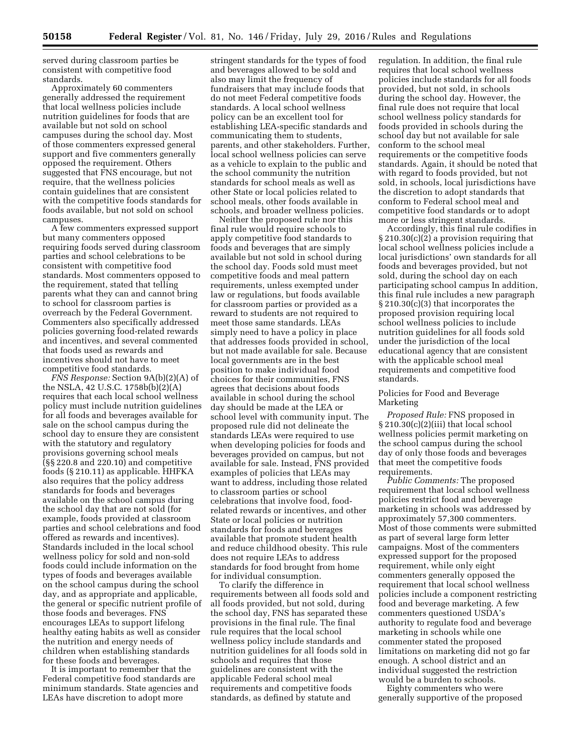served during classroom parties be consistent with competitive food standards.

Approximately 60 commenters generally addressed the requirement that local wellness policies include nutrition guidelines for foods that are available but not sold on school campuses during the school day. Most of those commenters expressed general support and five commenters generally opposed the requirement. Others suggested that FNS encourage, but not require, that the wellness policies contain guidelines that are consistent with the competitive foods standards for foods available, but not sold on school campuses.

A few commenters expressed support but many commenters opposed requiring foods served during classroom parties and school celebrations to be consistent with competitive food standards. Most commenters opposed to the requirement, stated that telling parents what they can and cannot bring to school for classroom parties is overreach by the Federal Government. Commenters also specifically addressed policies governing food-related rewards and incentives, and several commented that foods used as rewards and incentives should not have to meet competitive food standards.

*FNS Response:* Section 9A(b)(2)(A) of the NSLA, 42 U.S.C. 1758b(b)(2)(A) requires that each local school wellness policy must include nutrition guidelines for all foods and beverages available for sale on the school campus during the school day to ensure they are consistent with the statutory and regulatory provisions governing school meals (§§ 220.8 and 220.10) and competitive foods (§ 210.11) as applicable. HHFKA also requires that the policy address standards for foods and beverages available on the school campus during the school day that are not sold (for example, foods provided at classroom parties and school celebrations and food offered as rewards and incentives). Standards included in the local school wellness policy for sold and non-sold foods could include information on the types of foods and beverages available on the school campus during the school day, and as appropriate and applicable, the general or specific nutrient profile of those foods and beverages. FNS encourages LEAs to support lifelong healthy eating habits as well as consider the nutrition and energy needs of children when establishing standards for these foods and beverages.

It is important to remember that the Federal competitive food standards are minimum standards. State agencies and LEAs have discretion to adopt more

stringent standards for the types of food and beverages allowed to be sold and also may limit the frequency of fundraisers that may include foods that do not meet Federal competitive foods standards. A local school wellness policy can be an excellent tool for establishing LEA-specific standards and communicating them to students, parents, and other stakeholders. Further, local school wellness policies can serve as a vehicle to explain to the public and the school community the nutrition standards for school meals as well as other State or local policies related to school meals, other foods available in schools, and broader wellness policies.

Neither the proposed rule nor this final rule would require schools to apply competitive food standards to foods and beverages that are simply available but not sold in school during the school day. Foods sold must meet competitive foods and meal pattern requirements, unless exempted under law or regulations, but foods available for classroom parties or provided as a reward to students are not required to meet those same standards. LEAs simply need to have a policy in place that addresses foods provided in school, but not made available for sale. Because local governments are in the best position to make individual food choices for their communities, FNS agrees that decisions about foods available in school during the school day should be made at the LEA or school level with community input. The proposed rule did not delineate the standards LEAs were required to use when developing policies for foods and beverages provided on campus, but not available for sale. Instead, FNS provided examples of policies that LEAs may want to address, including those related to classroom parties or school celebrations that involve food, foodrelated rewards or incentives, and other State or local policies or nutrition standards for foods and beverages available that promote student health and reduce childhood obesity. This rule does not require LEAs to address standards for food brought from home for individual consumption.

To clarify the difference in requirements between all foods sold and all foods provided, but not sold, during the school day, FNS has separated these provisions in the final rule. The final rule requires that the local school wellness policy include standards and nutrition guidelines for all foods sold in schools and requires that those guidelines are consistent with the applicable Federal school meal requirements and competitive foods standards, as defined by statute and

regulation. In addition, the final rule requires that local school wellness policies include standards for all foods provided, but not sold, in schools during the school day. However, the final rule does not require that local school wellness policy standards for foods provided in schools during the school day but not available for sale conform to the school meal requirements or the competitive foods standards. Again, it should be noted that with regard to foods provided, but not sold, in schools, local jurisdictions have the discretion to adopt standards that conform to Federal school meal and competitive food standards or to adopt more or less stringent standards.

Accordingly, this final rule codifies in § 210.30(c)(2) a provision requiring that local school wellness policies include a local jurisdictions' own standards for all foods and beverages provided, but not sold, during the school day on each participating school campus In addition, this final rule includes a new paragraph § 210.30(c)(3) that incorporates the proposed provision requiring local school wellness policies to include nutrition guidelines for all foods sold under the jurisdiction of the local educational agency that are consistent with the applicable school meal requirements and competitive food standards.

# Policies for Food and Beverage Marketing

*Proposed Rule:* FNS proposed in § 210.30(c)(2)(iii) that local school wellness policies permit marketing on the school campus during the school day of only those foods and beverages that meet the competitive foods requirements.

*Public Comments:* The proposed requirement that local school wellness policies restrict food and beverage marketing in schools was addressed by approximately 57,300 commenters. Most of those comments were submitted as part of several large form letter campaigns. Most of the commenters expressed support for the proposed requirement, while only eight commenters generally opposed the requirement that local school wellness policies include a component restricting food and beverage marketing. A few commenters questioned USDA's authority to regulate food and beverage marketing in schools while one commenter stated the proposed limitations on marketing did not go far enough. A school district and an individual suggested the restriction would be a burden to schools.

Eighty commenters who were generally supportive of the proposed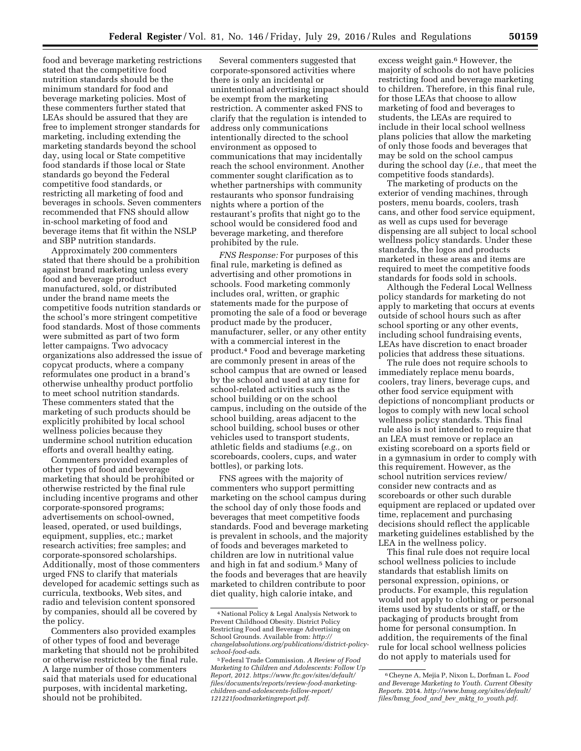food and beverage marketing restrictions stated that the competitive food nutrition standards should be the minimum standard for food and beverage marketing policies. Most of these commenters further stated that LEAs should be assured that they are free to implement stronger standards for marketing, including extending the marketing standards beyond the school day, using local or State competitive food standards if those local or State standards go beyond the Federal competitive food standards, or restricting all marketing of food and beverages in schools. Seven commenters recommended that FNS should allow in-school marketing of food and beverage items that fit within the NSLP and SBP nutrition standards.

Approximately 200 commenters stated that there should be a prohibition against brand marketing unless every food and beverage product manufactured, sold, or distributed under the brand name meets the competitive foods nutrition standards or the school's more stringent competitive food standards. Most of those comments were submitted as part of two form letter campaigns. Two advocacy organizations also addressed the issue of copycat products, where a company reformulates one product in a brand's otherwise unhealthy product portfolio to meet school nutrition standards. These commenters stated that the marketing of such products should be explicitly prohibited by local school wellness policies because they undermine school nutrition education efforts and overall healthy eating.

Commenters provided examples of other types of food and beverage marketing that should be prohibited or otherwise restricted by the final rule including incentive programs and other corporate-sponsored programs; advertisements on school-owned, leased, operated, or used buildings, equipment, supplies, etc.; market research activities; free samples; and corporate-sponsored scholarships. Additionally, most of those commenters urged FNS to clarify that materials developed for academic settings such as curricula, textbooks, Web sites, and radio and television content sponsored by companies, should all be covered by the policy.

Commenters also provided examples of other types of food and beverage marketing that should not be prohibited or otherwise restricted by the final rule. A large number of those commenters said that materials used for educational purposes, with incidental marketing, should not be prohibited.

Several commenters suggested that corporate-sponsored activities where there is only an incidental or unintentional advertising impact should be exempt from the marketing restriction. A commenter asked FNS to clarify that the regulation is intended to address only communications intentionally directed to the school environment as opposed to communications that may incidentally reach the school environment. Another commenter sought clarification as to whether partnerships with community restaurants who sponsor fundraising nights where a portion of the restaurant's profits that night go to the school would be considered food and beverage marketing, and therefore prohibited by the rule.

*FNS Response:* For purposes of this final rule, marketing is defined as advertising and other promotions in schools. Food marketing commonly includes oral, written, or graphic statements made for the purpose of promoting the sale of a food or beverage product made by the producer, manufacturer, seller, or any other entity with a commercial interest in the product.4 Food and beverage marketing are commonly present in areas of the school campus that are owned or leased by the school and used at any time for school-related activities such as the school building or on the school campus, including on the outside of the school building, areas adjacent to the school building, school buses or other vehicles used to transport students, athletic fields and stadiums (*e.g.,* on scoreboards, coolers, cups, and water bottles), or parking lots.

FNS agrees with the majority of commenters who support permitting marketing on the school campus during the school day of only those foods and beverages that meet competitive foods standards. Food and beverage marketing is prevalent in schools, and the majority of foods and beverages marketed to children are low in nutritional value and high in fat and sodium.5 Many of the foods and beverages that are heavily marketed to children contribute to poor diet quality, high calorie intake, and

excess weight gain.<sup>6</sup> However, the majority of schools do not have policies restricting food and beverage marketing to children. Therefore, in this final rule, for those LEAs that choose to allow marketing of food and beverages to students, the LEAs are required to include in their local school wellness plans policies that allow the marketing of only those foods and beverages that may be sold on the school campus during the school day (*i.e.,* that meet the competitive foods standards).

The marketing of products on the exterior of vending machines, through posters, menu boards, coolers, trash cans, and other food service equipment, as well as cups used for beverage dispensing are all subject to local school wellness policy standards. Under these standards, the logos and products marketed in these areas and items are required to meet the competitive foods standards for foods sold in schools.

Although the Federal Local Wellness policy standards for marketing do not apply to marketing that occurs at events outside of school hours such as after school sporting or any other events, including school fundraising events, LEAs have discretion to enact broader policies that address these situations.

The rule does not require schools to immediately replace menu boards, coolers, tray liners, beverage cups, and other food service equipment with depictions of noncompliant products or logos to comply with new local school wellness policy standards. This final rule also is not intended to require that an LEA must remove or replace an existing scoreboard on a sports field or in a gymnasium in order to comply with this requirement. However, as the school nutrition services review/ consider new contracts and as scoreboards or other such durable equipment are replaced or updated over time, replacement and purchasing decisions should reflect the applicable marketing guidelines established by the LEA in the wellness policy.

This final rule does not require local school wellness policies to include standards that establish limits on personal expression, opinions, or products. For example, this regulation would not apply to clothing or personal items used by students or staff, or the packaging of products brought from home for personal consumption. In addition, the requirements of the final rule for local school wellness policies do not apply to materials used for

<sup>4</sup>National Policy & Legal Analysis Network to Prevent Childhood Obesity. District Policy Restricting Food and Beverage Advertising on School Grounds. Available from: *[http://](http://changelabsolutions.org/publications/district-policy-school-food-ads) [changelabsolutions.org/publications/district-policy](http://changelabsolutions.org/publications/district-policy-school-food-ads)[school-food-ads.](http://changelabsolutions.org/publications/district-policy-school-food-ads)* 

<sup>5</sup>Federal Trade Commission. *A Review of Food Marketing to Children and Adolescents: Follow Up Report, 2012. [https://www.ftc.gov/sites/default/](https://www.ftc.gov/sites/default/files/documents/reports/review-food-marketing-children-and-adolescents-follow-report/121221foodmarketingreport.pdf) [files/documents/reports/review-food-marketing](https://www.ftc.gov/sites/default/files/documents/reports/review-food-marketing-children-and-adolescents-follow-report/121221foodmarketingreport.pdf)[children-and-adolescents-follow-report/](https://www.ftc.gov/sites/default/files/documents/reports/review-food-marketing-children-and-adolescents-follow-report/121221foodmarketingreport.pdf) [121221foodmarketingreport.pdf.](https://www.ftc.gov/sites/default/files/documents/reports/review-food-marketing-children-and-adolescents-follow-report/121221foodmarketingreport.pdf)* 

<sup>6</sup>Cheyne A, Mejia P, Nixon L, Dorfman L. *Food and Beverage Marketing to Youth. Current Obesity Reports.* 2014. *[http://www.bmsg.org/sites/default/](http://www.bmsg.org/sites/default/files/bmsg_food_and_bev_mktg_to_youth.pdf) files/bmsg*\_*food*\_*and*\_*bev*\_*mktg*\_*to*\_*[youth.pdf.](http://www.bmsg.org/sites/default/files/bmsg_food_and_bev_mktg_to_youth.pdf)*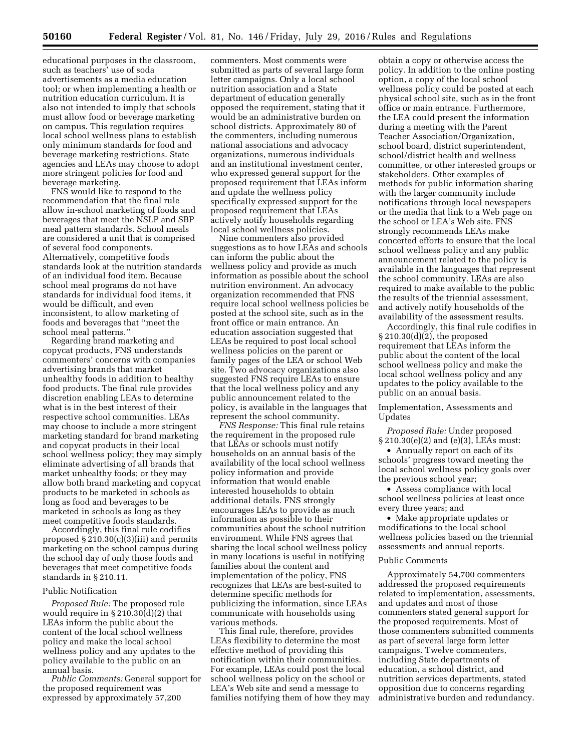educational purposes in the classroom, such as teachers' use of soda advertisements as a media education tool; or when implementing a health or nutrition education curriculum. It is also not intended to imply that schools must allow food or beverage marketing on campus. This regulation requires local school wellness plans to establish only minimum standards for food and beverage marketing restrictions. State agencies and LEAs may choose to adopt more stringent policies for food and beverage marketing.

FNS would like to respond to the recommendation that the final rule allow in-school marketing of foods and beverages that meet the NSLP and SBP meal pattern standards. School meals are considered a unit that is comprised of several food components. Alternatively, competitive foods standards look at the nutrition standards of an individual food item. Because school meal programs do not have standards for individual food items, it would be difficult, and even inconsistent, to allow marketing of foods and beverages that ''meet the school meal patterns.''

Regarding brand marketing and copycat products, FNS understands commenters' concerns with companies advertising brands that market unhealthy foods in addition to healthy food products. The final rule provides discretion enabling LEAs to determine what is in the best interest of their respective school communities. LEAs may choose to include a more stringent marketing standard for brand marketing and copycat products in their local school wellness policy; they may simply eliminate advertising of all brands that market unhealthy foods; or they may allow both brand marketing and copycat products to be marketed in schools as long as food and beverages to be marketed in schools as long as they meet competitive foods standards.

Accordingly, this final rule codifies proposed § 210.30(c)(3)(iii) and permits marketing on the school campus during the school day of only those foods and beverages that meet competitive foods standards in § 210.11.

#### Public Notification

*Proposed Rule:* The proposed rule would require in § 210.30(d)(2) that LEAs inform the public about the content of the local school wellness policy and make the local school wellness policy and any updates to the policy available to the public on an annual basis.

*Public Comments:* General support for the proposed requirement was expressed by approximately 57,200

commenters. Most comments were submitted as parts of several large form letter campaigns. Only a local school nutrition association and a State department of education generally opposed the requirement, stating that it would be an administrative burden on school districts. Approximately 80 of the commenters, including numerous national associations and advocacy organizations, numerous individuals and an institutional investment center, who expressed general support for the proposed requirement that LEAs inform and update the wellness policy specifically expressed support for the proposed requirement that LEAs actively notify households regarding local school wellness policies.

Nine commenters also provided suggestions as to how LEAs and schools can inform the public about the wellness policy and provide as much information as possible about the school nutrition environment. An advocacy organization recommended that FNS require local school wellness policies be posted at the school site, such as in the front office or main entrance. An education association suggested that LEAs be required to post local school wellness policies on the parent or family pages of the LEA or school Web site. Two advocacy organizations also suggested FNS require LEAs to ensure that the local wellness policy and any public announcement related to the policy, is available in the languages that represent the school community.

*FNS Response:* This final rule retains the requirement in the proposed rule that LEAs or schools must notify households on an annual basis of the availability of the local school wellness policy information and provide information that would enable interested households to obtain additional details. FNS strongly encourages LEAs to provide as much information as possible to their communities about the school nutrition environment. While FNS agrees that sharing the local school wellness policy in many locations is useful in notifying families about the content and implementation of the policy, FNS recognizes that LEAs are best-suited to determine specific methods for publicizing the information, since LEAs communicate with households using various methods.

This final rule, therefore, provides LEAs flexibility to determine the most effective method of providing this notification within their communities. For example, LEAs could post the local school wellness policy on the school or LEA's Web site and send a message to families notifying them of how they may

obtain a copy or otherwise access the policy. In addition to the online posting option, a copy of the local school wellness policy could be posted at each physical school site, such as in the front office or main entrance. Furthermore, the LEA could present the information during a meeting with the Parent Teacher Association/Organization, school board, district superintendent, school/district health and wellness committee, or other interested groups or stakeholders. Other examples of methods for public information sharing with the larger community include notifications through local newspapers or the media that link to a Web page on the school or LEA's Web site. FNS strongly recommends LEAs make concerted efforts to ensure that the local school wellness policy and any public announcement related to the policy is available in the languages that represent the school community. LEAs are also required to make available to the public the results of the triennial assessment, and actively notify households of the availability of the assessment results.

Accordingly, this final rule codifies in § 210.30(d)(2), the proposed requirement that LEAs inform the public about the content of the local school wellness policy and make the local school wellness policy and any updates to the policy available to the public on an annual basis.

Implementation, Assessments and Updates

*Proposed Rule:* Under proposed § 210.30(e)(2) and (e)(3), LEAs must:

• Annually report on each of its schools' progress toward meeting the local school wellness policy goals over the previous school year;

• Assess compliance with local school wellness policies at least once every three years; and

• Make appropriate updates or modifications to the local school wellness policies based on the triennial assessments and annual reports.

#### Public Comments

Approximately 54,700 commenters addressed the proposed requirements related to implementation, assessments, and updates and most of those commenters stated general support for the proposed requirements. Most of those commenters submitted comments as part of several large form letter campaigns. Twelve commenters, including State departments of education, a school district, and nutrition services departments, stated opposition due to concerns regarding administrative burden and redundancy.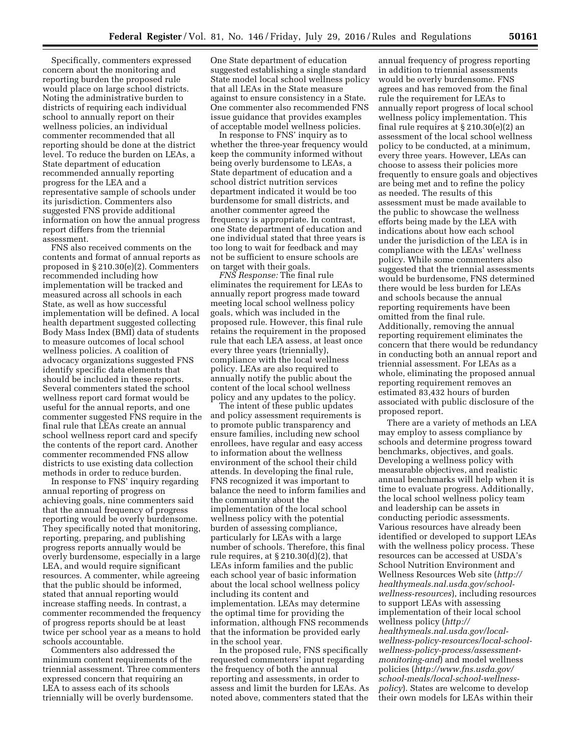Specifically, commenters expressed concern about the monitoring and reporting burden the proposed rule would place on large school districts. Noting the administrative burden to districts of requiring each individual school to annually report on their wellness policies, an individual commenter recommended that all reporting should be done at the district level. To reduce the burden on LEAs, a State department of education recommended annually reporting progress for the LEA and a representative sample of schools under its jurisdiction. Commenters also suggested FNS provide additional information on how the annual progress report differs from the triennial assessment.

FNS also received comments on the contents and format of annual reports as proposed in § 210.30(e)(2). Commenters recommended including how implementation will be tracked and measured across all schools in each State, as well as how successful implementation will be defined. A local health department suggested collecting Body Mass Index (BMI) data of students to measure outcomes of local school wellness policies. A coalition of advocacy organizations suggested FNS identify specific data elements that should be included in these reports. Several commenters stated the school wellness report card format would be useful for the annual reports, and one commenter suggested FNS require in the final rule that LEAs create an annual school wellness report card and specify the contents of the report card. Another commenter recommended FNS allow districts to use existing data collection methods in order to reduce burden.

In response to FNS' inquiry regarding annual reporting of progress on achieving goals, nine commenters said that the annual frequency of progress reporting would be overly burdensome. They specifically noted that monitoring, reporting, preparing, and publishing progress reports annually would be overly burdensome, especially in a large LEA, and would require significant resources. A commenter, while agreeing that the public should be informed, stated that annual reporting would increase staffing needs. In contrast, a commenter recommended the frequency of progress reports should be at least twice per school year as a means to hold schools accountable.

Commenters also addressed the minimum content requirements of the triennial assessment. Three commenters expressed concern that requiring an LEA to assess each of its schools triennially will be overly burdensome.

One State department of education suggested establishing a single standard State model local school wellness policy that all LEAs in the State measure against to ensure consistency in a State. One commenter also recommended FNS issue guidance that provides examples of acceptable model wellness policies.

In response to FNS' inquiry as to whether the three-year frequency would keep the community informed without being overly burdensome to LEAs, a State department of education and a school district nutrition services department indicated it would be too burdensome for small districts, and another commenter agreed the frequency is appropriate. In contrast, one State department of education and one individual stated that three years is too long to wait for feedback and may not be sufficient to ensure schools are on target with their goals.

*FNS Response:* The final rule eliminates the requirement for LEAs to annually report progress made toward meeting local school wellness policy goals, which was included in the proposed rule. However, this final rule retains the requirement in the proposed rule that each LEA assess, at least once every three years (triennially), compliance with the local wellness policy. LEAs are also required to annually notify the public about the content of the local school wellness policy and any updates to the policy.

The intent of these public updates and policy assessment requirements is to promote public transparency and ensure families, including new school enrollees, have regular and easy access to information about the wellness environment of the school their child attends. In developing the final rule, FNS recognized it was important to balance the need to inform families and the community about the implementation of the local school wellness policy with the potential burden of assessing compliance, particularly for LEAs with a large number of schools. Therefore, this final rule requires, at § 210.30(d)(2), that LEAs inform families and the public each school year of basic information about the local school wellness policy including its content and implementation. LEAs may determine the optimal time for providing the information, although FNS recommends that the information be provided early in the school year.

In the proposed rule, FNS specifically requested commenters' input regarding the frequency of both the annual reporting and assessments, in order to assess and limit the burden for LEAs. As noted above, commenters stated that the

annual frequency of progress reporting in addition to triennial assessments would be overly burdensome. FNS agrees and has removed from the final rule the requirement for LEAs to annually report progress of local school wellness policy implementation. This final rule requires at § 210.30(e)(2) an assessment of the local school wellness policy to be conducted, at a minimum, every three years. However, LEAs can choose to assess their policies more frequently to ensure goals and objectives are being met and to refine the policy as needed. The results of this assessment must be made available to the public to showcase the wellness efforts being made by the LEA with indications about how each school under the jurisdiction of the LEA is in compliance with the LEAs' wellness policy. While some commenters also suggested that the triennial assessments would be burdensome, FNS determined there would be less burden for LEAs and schools because the annual reporting requirements have been omitted from the final rule. Additionally, removing the annual reporting requirement eliminates the concern that there would be redundancy in conducting both an annual report and triennial assessment. For LEAs as a whole, eliminating the proposed annual reporting requirement removes an estimated 83,432 hours of burden associated with public disclosure of the proposed report.

There are a variety of methods an LEA may employ to assess compliance by schools and determine progress toward benchmarks, objectives, and goals. Developing a wellness policy with measurable objectives, and realistic annual benchmarks will help when it is time to evaluate progress. Additionally, the local school wellness policy team and leadership can be assets in conducting periodic assessments. Various resources have already been identified or developed to support LEAs with the wellness policy process. These resources can be accessed at USDA's School Nutrition Environment and Wellness Resources Web site (*[http://](http://healthymeals.nal.usda.gov/school-wellness-resources) [healthymeals.nal.usda.gov/school](http://healthymeals.nal.usda.gov/school-wellness-resources)[wellness-resources](http://healthymeals.nal.usda.gov/school-wellness-resources)*), including resources to support LEAs with assessing implementation of their local school wellness policy (*[http://](http://healthymeals.nal.usda.gov/local-wellness-policy-resources/local-school-wellness-policy-process/assessment-monitoring-and) [healthymeals.nal.usda.gov/local](http://healthymeals.nal.usda.gov/local-wellness-policy-resources/local-school-wellness-policy-process/assessment-monitoring-and)[wellness-policy-resources/local-school](http://healthymeals.nal.usda.gov/local-wellness-policy-resources/local-school-wellness-policy-process/assessment-monitoring-and)[wellness-policy-process/assessment](http://healthymeals.nal.usda.gov/local-wellness-policy-resources/local-school-wellness-policy-process/assessment-monitoring-and)[monitoring-and](http://healthymeals.nal.usda.gov/local-wellness-policy-resources/local-school-wellness-policy-process/assessment-monitoring-and)*) and model wellness policies (*[http://www.fns.usda.gov/](http://www.fns.usda.gov/school-meals/local-school-wellness-policy) [school-meals/local-school-wellness](http://www.fns.usda.gov/school-meals/local-school-wellness-policy)[policy](http://www.fns.usda.gov/school-meals/local-school-wellness-policy)*). States are welcome to develop their own models for LEAs within their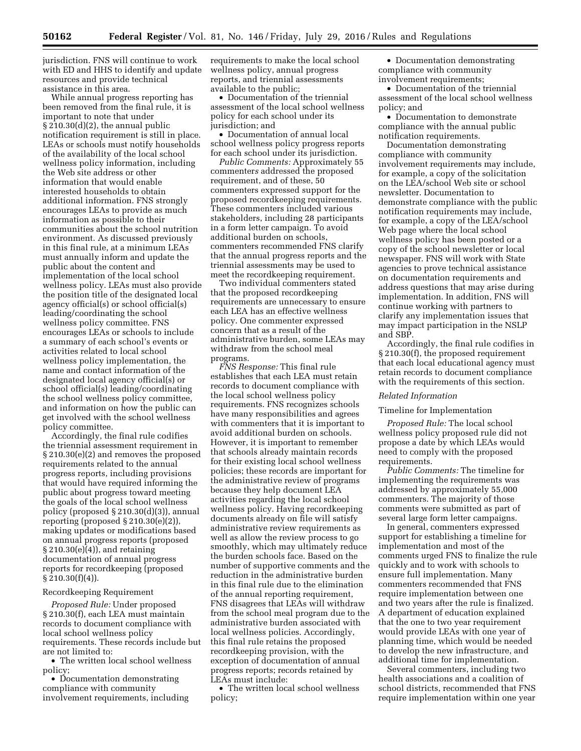jurisdiction. FNS will continue to work with ED and HHS to identify and update resources and provide technical assistance in this area.

While annual progress reporting has been removed from the final rule, it is important to note that under § 210.30(d)(2), the annual public notification requirement is still in place. LEAs or schools must notify households of the availability of the local school wellness policy information, including the Web site address or other information that would enable interested households to obtain additional information. FNS strongly encourages LEAs to provide as much information as possible to their communities about the school nutrition environment. As discussed previously in this final rule, at a minimum LEAs must annually inform and update the public about the content and implementation of the local school wellness policy. LEAs must also provide the position title of the designated local agency official(s) or school official(s) leading/coordinating the school wellness policy committee. FNS encourages LEAs or schools to include a summary of each school's events or activities related to local school wellness policy implementation, the name and contact information of the designated local agency official(s) or school official(s) leading/coordinating the school wellness policy committee, and information on how the public can get involved with the school wellness policy committee.

Accordingly, the final rule codifies the triennial assessment requirement in § 210.30(e)(2) and removes the proposed requirements related to the annual progress reports, including provisions that would have required informing the public about progress toward meeting the goals of the local school wellness policy (proposed § 210.30(d)(3)), annual reporting (proposed  $\S 210.30(e)(2)$ ), making updates or modifications based on annual progress reports (proposed § 210.30(e)(4)), and retaining documentation of annual progress reports for recordkeeping (proposed  $§ 210.30(f)(4)$ ).

#### Recordkeeping Requirement

*Proposed Rule:* Under proposed § 210.30(f), each LEA must maintain records to document compliance with local school wellness policy requirements. These records include but are not limited to:

• The written local school wellness policy;

• Documentation demonstrating compliance with community involvement requirements, including requirements to make the local school wellness policy, annual progress reports, and triennial assessments available to the public;

• Documentation of the triennial assessment of the local school wellness policy for each school under its jurisdiction; and

• Documentation of annual local school wellness policy progress reports for each school under its jurisdiction.

*Public Comments:* Approximately 55 commenter*s* addressed the proposed requirement, and of these, 50 commenters expressed support for the proposed recordkeeping requirements. These commenters included various stakeholders, including 28 participants in a form letter campaign. To avoid additional burden on schools, commenters recommended FNS clarify that the annual progress reports and the triennial assessments may be used to meet the recordkeeping requirement.

Two individual commenters stated that the proposed recordkeeping requirements are unnecessary to ensure each LEA has an effective wellness policy. One commenter expressed concern that as a result of the administrative burden, some LEAs may withdraw from the school meal programs.

*FNS Response:* This final rule establishes that each LEA must retain records to document compliance with the local school wellness policy requirements. FNS recognizes schools have many responsibilities and agrees with commenters that it is important to avoid additional burden on schools. However, it is important to remember that schools already maintain records for their existing local school wellness policies; these records are important for the administrative review of programs because they help document LEA activities regarding the local school wellness policy. Having recordkeeping documents already on file will satisfy administrative review requirements as well as allow the review process to go smoothly, which may ultimately reduce the burden schools face. Based on the number of supportive comments and the reduction in the administrative burden in this final rule due to the elimination of the annual reporting requirement, FNS disagrees that LEAs will withdraw from the school meal program due to the administrative burden associated with local wellness policies. Accordingly, this final rule retains the proposed recordkeeping provision, with the exception of documentation of annual progress reports; records retained by LEAs must include:

• The written local school wellness policy;

• Documentation demonstrating compliance with community involvement requirements;

• Documentation of the triennial assessment of the local school wellness policy; and

• Documentation to demonstrate compliance with the annual public notification requirements.

Documentation demonstrating compliance with community involvement requirements may include, for example, a copy of the solicitation on the LEA/school Web site or school newsletter. Documentation to demonstrate compliance with the public notification requirements may include, for example, a copy of the LEA/school Web page where the local school wellness policy has been posted or a copy of the school newsletter or local newspaper. FNS will work with State agencies to prove technical assistance on documentation requirements and address questions that may arise during implementation. In addition, FNS will continue working with partners to clarify any implementation issues that may impact participation in the NSLP and SBP.

Accordingly, the final rule codifies in § 210.30(f), the proposed requirement that each local educational agency must retain records to document compliance with the requirements of this section.

#### *Related Information*

#### Timeline for Implementation

*Proposed Rule:* The local school wellness policy proposed rule did not propose a date by which LEAs would need to comply with the proposed requirements.

*Public Comments:* The timeline for implementing the requirements was addressed by approximately 55,000 commenters. The majority of those comments were submitted as part of several large form letter campaigns.

In general, commenters expressed support for establishing a timeline for implementation and most of the comments urged FNS to finalize the rule quickly and to work with schools to ensure full implementation. Many commenters recommended that FNS require implementation between one and two years after the rule is finalized. A department of education explained that the one to two year requirement would provide LEAs with one year of planning time, which would be needed to develop the new infrastructure, and additional time for implementation.

Several commenters, including two health associations and a coalition of school districts, recommended that FNS require implementation within one year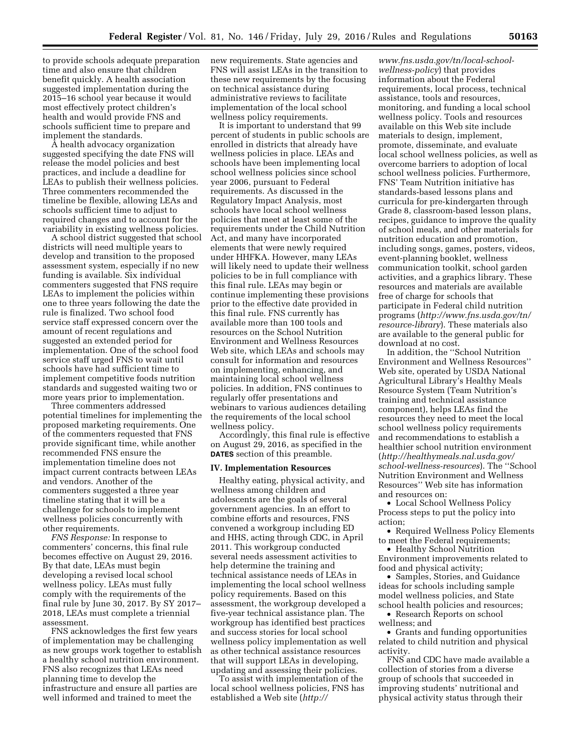to provide schools adequate preparation time and also ensure that children benefit quickly. A health association suggested implementation during the 2015–16 school year because it would most effectively protect children's health and would provide FNS and schools sufficient time to prepare and implement the standards.

A health advocacy organization suggested specifying the date FNS will release the model policies and best practices, and include a deadline for LEAs to publish their wellness policies. Three commenters recommended the timeline be flexible, allowing LEAs and schools sufficient time to adjust to required changes and to account for the variability in existing wellness policies.

A school district suggested that school districts will need multiple years to develop and transition to the proposed assessment system, especially if no new funding is available. Six individual commenters suggested that FNS require LEAs to implement the policies within one to three years following the date the rule is finalized. Two school food service staff expressed concern over the amount of recent regulations and suggested an extended period for implementation. One of the school food service staff urged FNS to wait until schools have had sufficient time to implement competitive foods nutrition standards and suggested waiting two or more years prior to implementation.

Three commenters addressed potential timelines for implementing the proposed marketing requirements. One of the commenters requested that FNS provide significant time, while another recommended FNS ensure the implementation timeline does not impact current contracts between LEAs and vendors. Another of the commenters suggested a three year timeline stating that it will be a challenge for schools to implement wellness policies concurrently with other requirements.

*FNS Response:* In response to commenters' concerns, this final rule becomes effective on August 29, 2016. By that date, LEAs must begin developing a revised local school wellness policy. LEAs must fully comply with the requirements of the final rule by June 30, 2017. By SY 2017– 2018, LEAs must complete a triennial assessment.

FNS acknowledges the first few years of implementation may be challenging as new groups work together to establish a healthy school nutrition environment. FNS also recognizes that LEAs need planning time to develop the infrastructure and ensure all parties are well informed and trained to meet the

new requirements. State agencies and FNS will assist LEAs in the transition to these new requirements by the focusing on technical assistance during administrative reviews to facilitate implementation of the local school wellness policy requirements.

It is important to understand that 99 percent of students in public schools are enrolled in districts that already have wellness policies in place. LEAs and schools have been implementing local school wellness policies since school year 2006, pursuant to Federal requirements. As discussed in the Regulatory Impact Analysis, most schools have local school wellness policies that meet at least some of the requirements under the Child Nutrition Act, and many have incorporated elements that were newly required under HHFKA. However, many LEAs will likely need to update their wellness policies to be in full compliance with this final rule. LEAs may begin or continue implementing these provisions prior to the effective date provided in this final rule. FNS currently has available more than 100 tools and resources on the School Nutrition Environment and Wellness Resources Web site, which LEAs and schools may consult for information and resources on implementing, enhancing, and maintaining local school wellness policies. In addition, FNS continues to regularly offer presentations and webinars to various audiences detailing the requirements of the local school wellness policy.

Accordingly, this final rule is effective on August 29, 2016, as specified in the **DATES** section of this preamble.

# **IV. Implementation Resources**

Healthy eating, physical activity, and wellness among children and adolescents are the goals of several government agencies. In an effort to combine efforts and resources, FNS convened a workgroup including ED and HHS, acting through CDC, in April 2011. This workgroup conducted several needs assessment activities to help determine the training and technical assistance needs of LEAs in implementing the local school wellness policy requirements. Based on this assessment, the workgroup developed a five-year technical assistance plan. The workgroup has identified best practices and success stories for local school wellness policy implementation as well as other technical assistance resources that will support LEAs in developing, updating and assessing their policies.

To assist with implementation of the local school wellness policies, FNS has established a Web site (*[http://](http://www.fns.usda.gov/tn/local-school-wellness-policy)*

*[www.fns.usda.gov/tn/local-school](http://www.fns.usda.gov/tn/local-school-wellness-policy)[wellness-policy](http://www.fns.usda.gov/tn/local-school-wellness-policy)*) that provides information about the Federal requirements, local process, technical assistance, tools and resources, monitoring, and funding a local school wellness policy. Tools and resources available on this Web site include materials to design, implement, promote, disseminate, and evaluate local school wellness policies, as well as overcome barriers to adoption of local school wellness policies. Furthermore, FNS' Team Nutrition initiative has standards-based lessons plans and curricula for pre-kindergarten through Grade 8, classroom-based lesson plans, recipes, guidance to improve the quality of school meals, and other materials for nutrition education and promotion, including songs, games, posters, videos, event-planning booklet, wellness communication toolkit, school garden activities, and a graphics library. These resources and materials are available free of charge for schools that participate in Federal child nutrition programs (*[http://www.fns.usda.gov/tn/](http://www.fns.usda.gov/tn/resource-library) [resource-library](http://www.fns.usda.gov/tn/resource-library)*). These materials also are available to the general public for download at no cost.

In addition, the ''School Nutrition Environment and Wellness Resources'' Web site, operated by USDA National Agricultural Library's Healthy Meals Resource System (Team Nutrition's training and technical assistance component), helps LEAs find the resources they need to meet the local school wellness policy requirements and recommendations to establish a healthier school nutrition environment (*[http://healthymeals.nal.usda.gov/](http://healthymeals.nal.usda.gov/school-wellness-resources) [school-wellness-resources](http://healthymeals.nal.usda.gov/school-wellness-resources)*). The ''School Nutrition Environment and Wellness Resources'' Web site has information and resources on:

• Local School Wellness Policy Process steps to put the policy into action;

• Required Wellness Policy Elements to meet the Federal requirements;

• Healthy School Nutrition Environment improvements related to food and physical activity;

• Samples, Stories, and Guidance ideas for schools including sample model wellness policies, and State school health policies and resources;

• Research Reports on school wellness; and

• Grants and funding opportunities related to child nutrition and physical activity.

FNS and CDC have made available a collection of stories from a diverse group of schools that succeeded in improving students' nutritional and physical activity status through their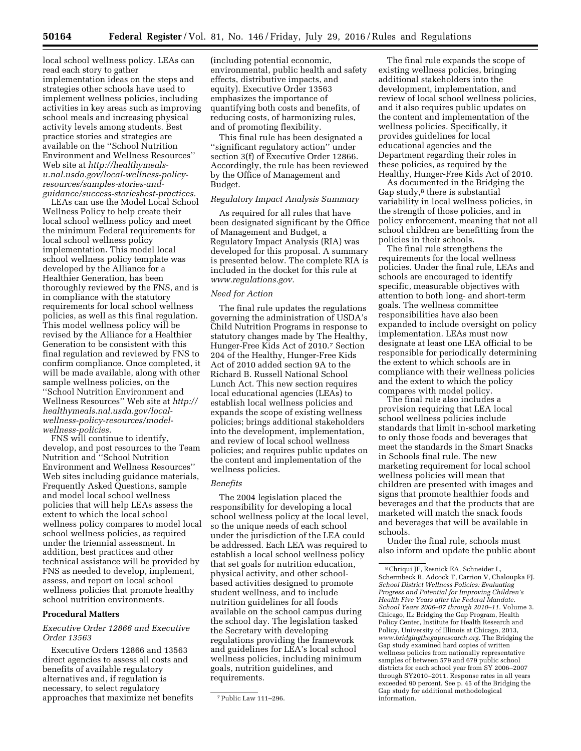local school wellness policy. LEAs can read each story to gather implementation ideas on the steps and strategies other schools have used to implement wellness policies, including activities in key areas such as improving school meals and increasing physical activity levels among students. Best practice stories and strategies are available on the ''School Nutrition Environment and Wellness Resources'' Web site at *[http://healthymeals](http://healthymeals-u.nal.usda.gov/local-wellness-policy-resources/samples-stories-and-guidance/success-storiesbest-practices)[u.nal.usda.gov/local-wellness-policy](http://healthymeals-u.nal.usda.gov/local-wellness-policy-resources/samples-stories-and-guidance/success-storiesbest-practices)[resources/samples-stories-and](http://healthymeals-u.nal.usda.gov/local-wellness-policy-resources/samples-stories-and-guidance/success-storiesbest-practices)[guidance/success-storiesbest-practices](http://healthymeals-u.nal.usda.gov/local-wellness-policy-resources/samples-stories-and-guidance/success-storiesbest-practices).* 

LEAs can use the Model Local School Wellness Policy to help create their local school wellness policy and meet the minimum Federal requirements for local school wellness policy implementation. This model local school wellness policy template was developed by the Alliance for a Healthier Generation, has been thoroughly reviewed by the FNS, and is in compliance with the statutory requirements for local school wellness policies, as well as this final regulation. This model wellness policy will be revised by the Alliance for a Healthier Generation to be consistent with this final regulation and reviewed by FNS to confirm compliance. Once completed, it will be made available, along with other sample wellness policies, on the ''School Nutrition Environment and Wellness Resources'' Web site at *[http://](http://healthymeals.nal.usda.gov/local-wellness-policy-resources/model-wellness-policies)  [healthymeals.nal.usda.gov/local](http://healthymeals.nal.usda.gov/local-wellness-policy-resources/model-wellness-policies)[wellness-policy-resources/model](http://healthymeals.nal.usda.gov/local-wellness-policy-resources/model-wellness-policies)[wellness-policies.](http://healthymeals.nal.usda.gov/local-wellness-policy-resources/model-wellness-policies)* 

FNS will continue to identify, develop, and post resources to the Team Nutrition and ''School Nutrition Environment and Wellness Resources'' Web sites including guidance materials, Frequently Asked Questions, sample and model local school wellness policies that will help LEAs assess the extent to which the local school wellness policy compares to model local school wellness policies, as required under the triennial assessment. In addition, best practices and other technical assistance will be provided by FNS as needed to develop, implement, assess, and report on local school wellness policies that promote healthy school nutrition environments.

# **Procedural Matters**

# *Executive Order 12866 and Executive Order 13563*

Executive Orders 12866 and 13563 direct agencies to assess all costs and benefits of available regulatory alternatives and, if regulation is necessary, to select regulatory approaches that maximize net benefits

(including potential economic, environmental, public health and safety effects, distributive impacts, and equity). Executive Order 13563 emphasizes the importance of quantifying both costs and benefits, of reducing costs, of harmonizing rules, and of promoting flexibility.

This final rule has been designated a ''significant regulatory action'' under section 3(f) of Executive Order 12866. Accordingly, the rule has been reviewed by the Office of Management and Budget.

#### *Regulatory Impact Analysis Summary*

As required for all rules that have been designated significant by the Office of Management and Budget, a Regulatory Impact Analysis (RIA) was developed for this proposal. A summary is presented below. The complete RIA is included in the docket for this rule at *[www.regulations.gov.](http://www.regulations.gov)* 

### *Need for Action*

The final rule updates the regulations governing the administration of USDA's Child Nutrition Programs in response to statutory changes made by The Healthy, Hunger-Free Kids Act of 2010.7 Section 204 of the Healthy, Hunger-Free Kids Act of 2010 added section 9A to the Richard B. Russell National School Lunch Act. This new section requires local educational agencies (LEAs) to establish local wellness policies and expands the scope of existing wellness policies; brings additional stakeholders into the development, implementation, and review of local school wellness policies; and requires public updates on the content and implementation of the wellness policies.

### *Benefits*

The 2004 legislation placed the responsibility for developing a local school wellness policy at the local level, so the unique needs of each school under the jurisdiction of the LEA could be addressed. Each LEA was required to establish a local school wellness policy that set goals for nutrition education, physical activity, and other schoolbased activities designed to promote student wellness, and to include nutrition guidelines for all foods available on the school campus during the school day. The legislation tasked the Secretary with developing regulations providing the framework and guidelines for LEA's local school wellness policies, including minimum goals, nutrition guidelines, and requirements.

The final rule expands the scope of existing wellness policies, bringing additional stakeholders into the development, implementation, and review of local school wellness policies, and it also requires public updates on the content and implementation of the wellness policies. Specifically, it provides guidelines for local educational agencies and the Department regarding their roles in these policies, as required by the Healthy, Hunger-Free Kids Act of 2010.

As documented in the Bridging the Gap study,<sup>8</sup> there is substantial variability in local wellness policies, in the strength of those policies, and in policy enforcement, meaning that not all school children are benefitting from the policies in their schools.

The final rule strengthens the requirements for the local wellness policies. Under the final rule, LEAs and schools are encouraged to identify specific, measurable objectives with attention to both long- and short-term goals. The wellness committee responsibilities have also been expanded to include oversight on policy implementation. LEAs must now designate at least one LEA official to be responsible for periodically determining the extent to which schools are in compliance with their wellness policies and the extent to which the policy compares with model policy.

The final rule also includes a provision requiring that LEA local school wellness policies include standards that limit in-school marketing to only those foods and beverages that meet the standards in the Smart Snacks in Schools final rule. The new marketing requirement for local school wellness policies will mean that children are presented with images and signs that promote healthier foods and beverages and that the products that are marketed will match the snack foods and beverages that will be available in schools.

Under the final rule, schools must also inform and update the public about

<sup>7</sup>Public Law 111–296.

<sup>8</sup>Chriqui JF, Resnick EA, Schneider L, Schermbeck R, Adcock T, Carrion V, Chaloupka FJ. *School District Wellness Policies: Evaluating Progress and Potential for Improving Children's Health Five Years after the Federal Mandate. School Years 2006–07 through 2010–11.* Volume 3. Chicago, IL: Bridging the Gap Program, Health Policy Center, Institute for Health Research and Policy, University of Illinois at Chicago, 2013, *[www.bridgingthegapresearch.org.](http://www.bridgingthegapresearch.org)* The Bridging the Gap study examined hard copies of written wellness policies from nationally representative samples of between 579 and 679 public school districts for each school year from SY 2006–2007 through SY2010–2011. Response rates in all years exceeded 90 percent. See p. 45 of the Bridging the Gap study for additional methodological information.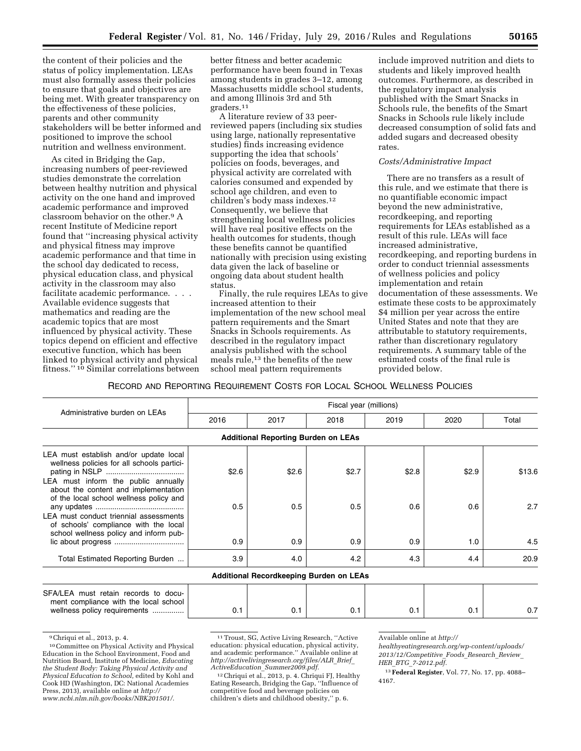the content of their policies and the status of policy implementation. LEAs must also formally assess their policies to ensure that goals and objectives are being met. With greater transparency on the effectiveness of these policies, parents and other community stakeholders will be better informed and positioned to improve the school nutrition and wellness environment.

As cited in Bridging the Gap, increasing numbers of peer-reviewed studies demonstrate the correlation between healthy nutrition and physical activity on the one hand and improved academic performance and improved classroom behavior on the other.9 A recent Institute of Medicine report found that ''increasing physical activity and physical fitness may improve academic performance and that time in the school day dedicated to recess, physical education class, and physical activity in the classroom may also facilitate academic performance. . . . Available evidence suggests that mathematics and reading are the academic topics that are most influenced by physical activity. These topics depend on efficient and effective executive function, which has been linked to physical activity and physical fitness.'' 10 Similar correlations between

better fitness and better academic performance have been found in Texas among students in grades 3–12, among Massachusetts middle school students, and among Illinois 3rd and 5th graders.11

A literature review of 33 peerreviewed papers (including six studies using large, nationally representative studies) finds increasing evidence supporting the idea that schools' policies on foods, beverages, and physical activity are correlated with calories consumed and expended by school age children, and even to children's body mass indexes.12 Consequently, we believe that strengthening local wellness policies will have real positive effects on the health outcomes for students, though these benefits cannot be quantified nationally with precision using existing data given the lack of baseline or ongoing data about student health status.

Finally, the rule requires LEAs to give increased attention to their implementation of the new school meal pattern requirements and the Smart Snacks in Schools requirements. As described in the regulatory impact analysis published with the school meals rule,13 the benefits of the new school meal pattern requirements

include improved nutrition and diets to students and likely improved health outcomes. Furthermore, as described in the regulatory impact analysis published with the Smart Snacks in Schools rule, the benefits of the Smart Snacks in Schools rule likely include decreased consumption of solid fats and added sugars and decreased obesity rates.

# *Costs/Administrative Impact*

There are no transfers as a result of this rule, and we estimate that there is no quantifiable economic impact beyond the new administrative, recordkeeping, and reporting requirements for LEAs established as a result of this rule. LEAs will face increased administrative, recordkeeping, and reporting burdens in order to conduct triennial assessments of wellness policies and policy implementation and retain documentation of these assessments. We estimate these costs to be approximately \$4 million per year across the entire United States and note that they are attributable to statutory requirements, rather than discretionary regulatory requirements. A summary table of the estimated costs of the final rule is provided below.

# RECORD AND REPORTING REQUIREMENT COSTS FOR LOCAL SCHOOL WELLNESS POLICIES

| Administrative burden on LEAs                                                                                             | Fiscal year (millions) |                                            |                                                |       |       |        |
|---------------------------------------------------------------------------------------------------------------------------|------------------------|--------------------------------------------|------------------------------------------------|-------|-------|--------|
|                                                                                                                           | 2016                   | 2017                                       | 2018                                           | 2019  | 2020  | Total  |
|                                                                                                                           |                        | <b>Additional Reporting Burden on LEAs</b> |                                                |       |       |        |
| LEA must establish and/or update local<br>wellness policies for all schools partici-                                      | \$2.6                  | \$2.6                                      | \$2.7                                          | \$2.8 | \$2.9 | \$13.6 |
| LEA must inform the public annually<br>about the content and implementation<br>of the local school wellness policy and    |                        |                                            |                                                |       |       |        |
| LEA must conduct triennial assessments<br>of schools' compliance with the local<br>school wellness policy and inform pub- | 0.5                    | 0.5                                        | 0.5                                            | 0.6   | 0.6   | 2.7    |
|                                                                                                                           | 0.9                    | 0.9                                        | 0.9                                            | 0.9   | 1.0   | 4.5    |
| Total Estimated Reporting Burden                                                                                          | 3.9                    | 4.0                                        | 4.2                                            | 4.3   | 4.4   | 20.9   |
|                                                                                                                           |                        |                                            | <b>Additional Recordkeeping Burden on LEAs</b> |       |       |        |
| SFA/LEA must retain records to docu-<br>ment compliance with the local school<br>wellness policy requirements             | 0.1                    | 0.1                                        | 0.1                                            | 0.1   | 0.1   | 0.7    |

9Chriqui et al., 2013, p. 4.

<sup>10</sup>Committee on Physical Activity and Physical Education in the School Environment, Food and Nutrition Board, Institute of Medicine, *Educating the Student Body: Taking Physical Activity and Physical Education to School,* edited by Kohl and Cook HD (Washington, DC: National Academies Press, 2013), available online at *[http://](http://www.ncbi.nlm.nih.gov/books/NBK201501/) [www.ncbi.nlm.nih.gov/books/NBK201501/.](http://www.ncbi.nlm.nih.gov/books/NBK201501/)* 

<sup>11</sup>Troust, SG, Active Living Research, ''Active education: physical education, physical activity, and academic performance.'' Available online at *[http://activelivingresearch.org/files/ALR](http://activelivingresearch.org/files/ALR_Brief_ActiveEducation_Summer2009.pdf)*\_*Brief*\_ *ActiveEducation*\_*[Summer2009.pdf.](http://activelivingresearch.org/files/ALR_Brief_ActiveEducation_Summer2009.pdf)* 

<sup>12</sup>Chriqui et al., 2013, p. 4. Chriqui FJ, Healthy Eating Research, Bridging the Gap, ''Influence of competitive food and beverage policies on children's diets and childhood obesity,'' p. 6.

Available online at *[http://](http://healthyeatingresearch.org/wp-content/uploads/2013/12/Competitive_Foods_Research_Review_HER_BTG_7-2012.pdf)* 

*[healthyeatingresearch.org/wp-content/uploads/](http://healthyeatingresearch.org/wp-content/uploads/2013/12/Competitive_Foods_Research_Review_HER_BTG_7-2012.pdf) [2013/12/Competitive](http://healthyeatingresearch.org/wp-content/uploads/2013/12/Competitive_Foods_Research_Review_HER_BTG_7-2012.pdf)*\_*Foods*\_*Research*\_*Review*\_ *HER*\_*BTG*\_*[7-2012.pdf.](http://healthyeatingresearch.org/wp-content/uploads/2013/12/Competitive_Foods_Research_Review_HER_BTG_7-2012.pdf)* 

<sup>13</sup>**Federal Register**, Vol. 77, No. 17, pp. 4088– 4167.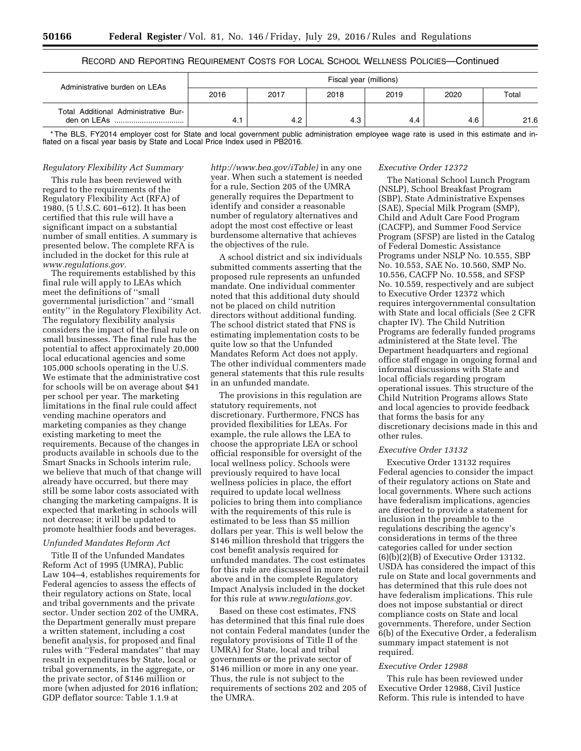# RECORD AND REPORTING REQUIREMENT COSTS FOR LOCAL SCHOOL WELLNESS POLICIES—Continued

| Administrative burden on LEAs                       | Fiscal year (millions) |      |      |      |      |       |
|-----------------------------------------------------|------------------------|------|------|------|------|-------|
|                                                     | 2016                   | 2017 | 2018 | 2019 | 2020 | Total |
| Total Additional Administrative Bur-<br>den on LEAs | 4.1                    | 4.2  | 4.3  | 4.4  | 4.6  | 21.6  |

\* The BLS, FY2014 employer cost for State and local government public administration employee wage rate is used in this estimate and inflated on a fiscal year basis by State and Local Price Index used in PB2016.

#### *Regulatory Flexibility Act Summary*

This rule has been reviewed with regard to the requirements of the Regulatory Flexibility Act (RFA) of 1980, (5 U.S.C. 601–612). It has been certified that this rule will have a significant impact on a substantial number of small entities. A summary is presented below. The complete RFA is included in the docket for this rule at *[www.regulations.gov.](http://www.regulations.gov)* 

The requirements established by this final rule will apply to LEAs which meet the definitions of ''small governmental jurisdiction'' and ''small entity'' in the Regulatory Flexibility Act. The regulatory flexibility analysis considers the impact of the final rule on small businesses. The final rule has the potential to affect approximately 20,000 local educational agencies and some 105,000 schools operating in the U.S. We estimate that the administrative cost for schools will be on average about \$41 per school per year. The marketing limitations in the final rule could affect vending machine operators and marketing companies as they change existing marketing to meet the requirements. Because of the changes in products available in schools due to the Smart Snacks in Schools interim rule, we believe that much of that change will already have occurred, but there may still be some labor costs associated with changing the marketing campaigns. It is expected that marketing in schools will not decrease; it will be updated to promote healthier foods and beverages.

#### *Unfunded Mandates Reform Act*

Title II of the Unfunded Mandates Reform Act of 1995 (UMRA), Public Law 104–4, establishes requirements for Federal agencies to assess the effects of their regulatory actions on State, local and tribal governments and the private sector. Under section 202 of the UMRA, the Department generally must prepare a written statement, including a cost benefit analysis, for proposed and final rules with ''Federal mandates'' that may result in expenditures by State, local or tribal governments, in the aggregate, or the private sector, of \$146 million or more (when adjusted for 2016 inflation; GDP deflator source: Table 1.1.9 at

*[http://www.bea.gov/iTable\)](http://www.bea.gov/iTable)* in any one year. When such a statement is needed for a rule, Section 205 of the UMRA generally requires the Department to identify and consider a reasonable number of regulatory alternatives and adopt the most cost effective or least burdensome alternative that achieves the objectives of the rule.

A school district and six individuals submitted comments asserting that the proposed rule represents an unfunded mandate. One individual commenter noted that this additional duty should not be placed on child nutrition directors without additional funding. The school district stated that FNS is estimating implementation costs to be quite low so that the Unfunded Mandates Reform Act does not apply. The other individual commenters made general statements that this rule results in an unfunded mandate.

The provisions in this regulation are statutory requirements, not discretionary. Furthermore, FNCS has provided flexibilities for LEAs. For example, the rule allows the LEA to choose the appropriate LEA or school official responsible for oversight of the local wellness policy. Schools were previously required to have local wellness policies in place, the effort required to update local wellness policies to bring them into compliance with the requirements of this rule is estimated to be less than \$5 million dollars per year. This is well below the \$146 million threshold that triggers the cost benefit analysis required for unfunded mandates. The cost estimates for this rule are discussed in more detail above and in the complete Regulatory Impact Analysis included in the docket for this rule at *[www.regulations.gov.](http://www.regulations.gov)* 

Based on these cost estimates, FNS has determined that this final rule does not contain Federal mandates (under the regulatory provisions of Title II of the UMRA) for State, local and tribal governments or the private sector of \$146 million or more in any one year. Thus, the rule is not subject to the requirements of sections 202 and 205 of the UMRA.

# *Executive Order 12372*

The National School Lunch Program (NSLP), School Breakfast Program (SBP), State Administrative Expenses (SAE), Special Milk Program (SMP), Child and Adult Care Food Program (CACFP), and Summer Food Service Program (SFSP) are listed in the Catalog of Federal Domestic Assistance Programs under NSLP No. 10.555, SBP No. 10.553, SAE No. 10.560, SMP No. 10.556, CACFP No. 10.558, and SFSP No. 10.559, respectively and are subject to Executive Order 12372 which requires intergovernmental consultation with State and local officials (See 2 CFR chapter IV). The Child Nutrition Programs are federally funded programs administered at the State level. The Department headquarters and regional office staff engage in ongoing formal and informal discussions with State and local officials regarding program operational issues. This structure of the Child Nutrition Programs allows State and local agencies to provide feedback that forms the basis for any discretionary decisions made in this and other rules.

## *Executive Order 13132*

Executive Order 13132 requires Federal agencies to consider the impact of their regulatory actions on State and local governments. Where such actions have federalism implications, agencies are directed to provide a statement for inclusion in the preamble to the regulations describing the agency's considerations in terms of the three categories called for under section (6)(b)(2)(B) of Executive Order 13132. USDA has considered the impact of this rule on State and local governments and has determined that this rule does not have federalism implications. This rule does not impose substantial or direct compliance costs on State and local governments. Therefore, under Section 6(b) of the Executive Order, a federalism summary impact statement is not required.

# *Executive Order 12988*

This rule has been reviewed under Executive Order 12988, Civil Justice Reform. This rule is intended to have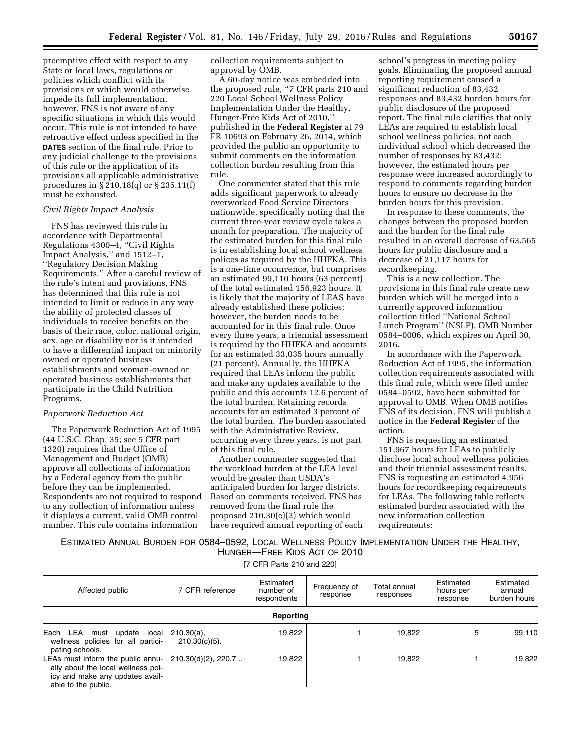preemptive effect with respect to any State or local laws, regulations or policies which conflict with its provisions or which would otherwise impede its full implementation, however, FNS is not aware of any specific situations in which this would occur. This rule is not intended to have retroactive effect unless specified in the **DATES** section of the final rule. Prior to any judicial challenge to the provisions of this rule or the application of its provisions all applicable administrative procedures in § 210.18(q) or § 235.11(f) must be exhausted.

#### *Civil Rights Impact Analysis*

FNS has reviewed this rule in accordance with Departmental Regulations 4300–4, ''Civil Rights Impact Analysis,'' and 1512–1, ''Regulatory Decision Making Requirements.'' After a careful review of the rule's intent and provisions, FNS has determined that this rule is not intended to limit or reduce in any way the ability of protected classes of individuals to receive benefits on the basis of their race, color, national origin, sex, age or disability nor is it intended to have a differential impact on minority owned or operated business establishments and woman-owned or operated business establishments that participate in the Child Nutrition Programs.

# *Paperwork Reduction Act*

The Paperwork Reduction Act of 1995 (44 U.S.C. Chap. 35; see 5 CFR part 1320) requires that the Office of Management and Budget (OMB) approve all collections of information by a Federal agency from the public before they can be implemented. Respondents are not required to respond to any collection of information unless it displays a current, valid OMB control number. This rule contains information

collection requirements subject to approval by OMB.

A 60-day notice was embedded into the proposed rule, ''7 CFR parts 210 and 220 Local School Wellness Policy Implementation Under the Healthy, Hunger-Free Kids Act of 2010,'' published in the **Federal Register** at 79 FR 10693 on February 26, 2014, which provided the public an opportunity to submit comments on the information collection burden resulting from this rule.

One commenter stated that this rule adds significant paperwork to already overworked Food Service Directors nationwide, specifically noting that the current three-year review cycle takes a month for preparation. The majority of the estimated burden for this final rule is in establishing local school wellness polices as required by the HHFKA. This is a one-time occurrence, but comprises an estimated 99,110 hours (63 percent) of the total estimated 156,923 hours. It is likely that the majority of LEAS have already established these policies; however, the burden needs to be accounted for in this final rule. Once every three years, a triennial assessment is required by the HHFKA and accounts for an estimated 33,035 hours annually (21 percent). Annually, the HHFKA required that LEAs inform the public and make any updates available to the public and this accounts 12.6 percent of the total burden. Retaining records accounts for an estimated 3 percent of the total burden. The burden associated with the Administrative Review, occurring every three years, is not part of this final rule.

Another commenter suggested that the workload burden at the LEA level would be greater than USDA's anticipated burden for larger districts. Based on comments received, FNS has removed from the final rule the proposed 210.30(e)(2) which would have required annual reporting of each

school's progress in meeting policy goals. Eliminating the proposed annual reporting requirement caused a significant reduction of 83,432 responses and 83,432 burden hours for public disclosure of the proposed report. The final rule clarifies that only LEAs are required to establish local school wellness policies, not each individual school which decreased the number of responses by 83,432; however, the estimated hours per response were increased accordingly to respond to comments regarding burden hours to ensure no decrease in the burden hours for this provision.

In response to these comments, the changes between the proposed burden and the burden for the final rule resulted in an overall decrease of 63,565 hours for public disclosure and a decrease of 21,117 hours for recordkeeping.

This is a new collection. The provisions in this final rule create new burden which will be merged into a currently approved information collection titled ''National School Lunch Program'' (NSLP), OMB Number 0584–0006, which expires on April 30, 2016.

In accordance with the Paperwork Reduction Act of 1995, the information collection requirements associated with this final rule, which were filed under 0584–0592, have been submitted for approval to OMB. When OMB notifies FNS of its decision, FNS will publish a notice in the **Federal Register** of the action.

FNS is requesting an estimated 151,967 hours for LEAs to publicly disclose local school wellness policies and their triennial assessment results. FNS is requesting an estimated 4,956 hours for recordkeeping requirements for LEAs. The following table reflects estimated burden associated with the new information collection requirements:

ESTIMATED ANNUAL BURDEN FOR 0584–0592, LOCAL WELLNESS POLICY IMPLEMENTATION UNDER THE HEALTHY, HUNGER—FREE KIDS ACT OF 2010

[7 CFR Parts 210 and 220]

| Affected public                                                                                                                   | 7 CFR reference                   | Estimated<br>number of<br>respondents | Frequency of<br>response | Total annual<br>responses | Estimated<br>hours per<br>response | Estimated<br>annual<br>burden hours |
|-----------------------------------------------------------------------------------------------------------------------------------|-----------------------------------|---------------------------------------|--------------------------|---------------------------|------------------------------------|-------------------------------------|
| Reporting                                                                                                                         |                                   |                                       |                          |                           |                                    |                                     |
| Each LEA must<br>update local<br>wellness policies for all partici-<br>pating schools.                                            | $210.30(a)$ ,<br>$210.30(c)(5)$ . | 19,822                                |                          | 19.822                    | 5                                  | 99,110                              |
| LEAs must inform the public annu-<br>ally about the local wellness pol-<br>icy and make any updates avail-<br>able to the public. | $210.30(d)(2)$ , 220.7.           | 19.822                                |                          | 19.822                    |                                    | 19.822                              |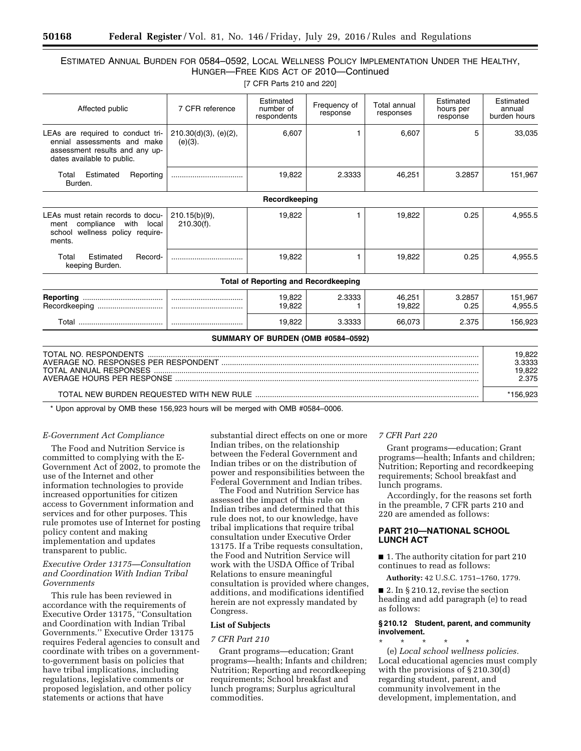# ESTIMATED ANNUAL BURDEN FOR 0584–0592, LOCAL WELLNESS POLICY IMPLEMENTATION UNDER THE HEALTHY, HUNGER—FREE KIDS ACT OF 2010—Continued

[7 CFR Parts 210 and 220]

| Affected public                                                                                                                  | 7 CFR reference                        | Estimated<br>number of<br>respondents       | Frequency of<br>response           | Total annual<br>responses | Estimated<br>hours per<br>response | Estimated<br>annual<br>burden hours |
|----------------------------------------------------------------------------------------------------------------------------------|----------------------------------------|---------------------------------------------|------------------------------------|---------------------------|------------------------------------|-------------------------------------|
| LEAs are required to conduct tri-<br>ennial assessments and make<br>assessment results and any up-<br>dates available to public. | $210.30(d)(3)$ , (e)(2),<br>$(e)(3)$ . | 6,607                                       |                                    | 6,607                     | 5                                  | 33,035                              |
| Estimated<br>Total<br>Reporting<br>Burden.                                                                                       |                                        | 19,822                                      | 2.3333                             | 46,251                    | 3.2857                             | 151,967                             |
|                                                                                                                                  |                                        | Recordkeeping                               |                                    |                           |                                    |                                     |
| LEAs must retain records to docu-<br>compliance<br>with<br>local<br>ment<br>wellness policy require-<br>school<br>ments.         | $210.15(b)(9)$ ,<br>$210.30(f)$ .      | 19,822                                      | 1                                  | 19,822                    | 0.25                               | 4,955.5                             |
| Estimated<br>Record-<br>Total<br>keeping Burden.                                                                                 |                                        | 19,822                                      |                                    | 19,822                    | 0.25                               | 4,955.5                             |
|                                                                                                                                  |                                        | <b>Total of Reporting and Recordkeeping</b> |                                    |                           |                                    |                                     |
| Recordkeeping                                                                                                                    |                                        | 19,822<br>19,822                            | 2.3333                             | 46,251<br>19,822          | 3.2857<br>0.25                     | 151,967<br>4,955.5                  |
|                                                                                                                                  |                                        | 19,822                                      | 3.3333                             | 66,073                    | 2.375                              | 156,923                             |
|                                                                                                                                  |                                        |                                             | SUMMARY OF BURDEN (OMB #0584-0592) |                           |                                    |                                     |
| TOTAL NO. RESPONDENTS<br>AVERAGE NO. RESPONSES PER RESPONDENT                                                                    |                                        |                                             |                                    |                           | 19,822<br>3.3333                   |                                     |

| AVENAUE INU. NEOFUNOEO FEN NEOFUNDENT    | ა.აააა   |
|------------------------------------------|----------|
| TOTAL ANNUAL RESPONSES                   | 19.822   |
|                                          | 2.375.   |
| TOTAL NEW BURDEN REQUESTED WITH NEW RULE | *156.923 |

\* Upon approval by OMB these 156,923 hours will be merged with OMB #0584–0006.

### *E-Government Act Compliance*

The Food and Nutrition Service is committed to complying with the E-Government Act of 2002, to promote the use of the Internet and other information technologies to provide increased opportunities for citizen access to Government information and services and for other purposes. This rule promotes use of Internet for posting policy content and making implementation and updates transparent to public.

# *Executive Order 13175—Consultation and Coordination With Indian Tribal Governments*

This rule has been reviewed in accordance with the requirements of Executive Order 13175, ''Consultation and Coordination with Indian Tribal Governments.'' Executive Order 13175 requires Federal agencies to consult and coordinate with tribes on a governmentto-government basis on policies that have tribal implications, including regulations, legislative comments or proposed legislation, and other policy statements or actions that have

substantial direct effects on one or more Indian tribes, on the relationship between the Federal Government and Indian tribes or on the distribution of power and responsibilities between the Federal Government and Indian tribes.

The Food and Nutrition Service has assessed the impact of this rule on Indian tribes and determined that this rule does not, to our knowledge, have tribal implications that require tribal consultation under Executive Order 13175. If a Tribe requests consultation, the Food and Nutrition Service will work with the USDA Office of Tribal Relations to ensure meaningful consultation is provided where changes, additions, and modifications identified herein are not expressly mandated by Congress.

# **List of Subjects**

#### *7 CFR Part 210*

Grant programs—education; Grant programs—health; Infants and children; Nutrition; Reporting and recordkeeping requirements; School breakfast and lunch programs; Surplus agricultural commodities.

## *7 CFR Part 220*

Grant programs—education; Grant programs—health; Infants and children; Nutrition; Reporting and recordkeeping requirements; School breakfast and lunch programs.

Accordingly, for the reasons set forth in the preamble, 7 CFR parts 210 and 220 are amended as follows:

# **PART 210—NATIONAL SCHOOL LUNCH ACT**

■ 1. The authority citation for part 210 continues to read as follows:

**Authority:** 42 U.S.C. 1751–1760, 1779.

■ 2. In § 210.12, revise the section heading and add paragraph (e) to read as follows:

# **§ 210.12 Student, parent, and community involvement.**

\* \* \* \* \* (e) *Local school wellness policies.*  Local educational agencies must comply with the provisions of § 210.30(d) regarding student, parent, and community involvement in the development, implementation, and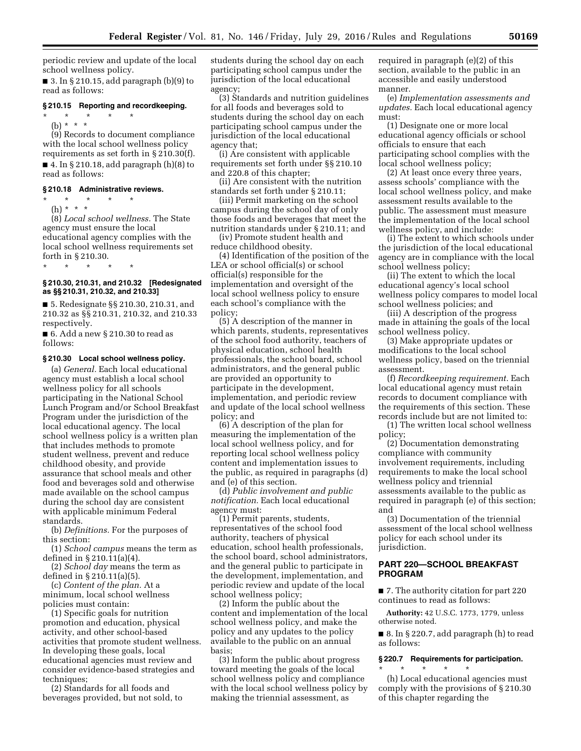periodic review and update of the local school wellness policy.

■ 3. In § 210.15, add paragraph (b)(9) to read as follows:

# **§ 210.15 Reporting and recordkeeping.**

\* \* \* \* \* (b) \* \* \*

(9) Records to document compliance with the local school wellness policy requirements as set forth in § 210.30(f). ■ 4. In § 210.18, add paragraph  $(h)(8)$  to

read as follows:

# **§ 210.18 Administrative reviews.**

\* \* \* \* \*

(h) \* \* \* (8) *Local school wellness.* The State agency must ensure the local educational agency complies with the local school wellness requirements set

forth in § 210.30. \* \* \* \* \*

# **§ 210.30, 210.31, and 210.32 [Redesignated as §§ 210.31, 210.32, and 210.33]**

■ 5. Redesignate §§ 210.30, 210.31, and 210.32 as §§ 210.31, 210.32, and 210.33 respectively.

■ 6. Add a new § 210.30 to read as follows:

## **§ 210.30 Local school wellness policy.**

(a) *General.* Each local educational agency must establish a local school wellness policy for all schools participating in the National School Lunch Program and/or School Breakfast Program under the jurisdiction of the local educational agency. The local school wellness policy is a written plan that includes methods to promote student wellness, prevent and reduce childhood obesity, and provide assurance that school meals and other food and beverages sold and otherwise made available on the school campus during the school day are consistent with applicable minimum Federal standards.

(b) *Definitions.* For the purposes of this section:

(1) *School campus* means the term as defined in § 210.11(a)(4).

(2) *School day* means the term as defined in § 210.11(a)(5).

(c) *Content of the plan.* At a minimum, local school wellness policies must contain:

(1) Specific goals for nutrition promotion and education, physical activity, and other school-based activities that promote student wellness. In developing these goals, local educational agencies must review and consider evidence-based strategies and techniques;

(2) Standards for all foods and beverages provided, but not sold, to students during the school day on each participating school campus under the jurisdiction of the local educational agency;

(3) Standards and nutrition guidelines for all foods and beverages sold to students during the school day on each participating school campus under the jurisdiction of the local educational agency that;

(i) Are consistent with applicable requirements set forth under §§ 210.10 and 220.8 of this chapter;

(ii) Are consistent with the nutrition standards set forth under § 210.11;

(iii) Permit marketing on the school campus during the school day of only those foods and beverages that meet the nutrition standards under § 210.11; and

(iv) Promote student health and reduce childhood obesity.

(4) Identification of the position of the LEA or school official(s) or school official(s) responsible for the implementation and oversight of the local school wellness policy to ensure each school's compliance with the policy;

(5) A description of the manner in which parents, students, representatives of the school food authority, teachers of physical education, school health professionals, the school board, school administrators, and the general public are provided an opportunity to participate in the development, implementation, and periodic review and update of the local school wellness policy; and

(6) A description of the plan for measuring the implementation of the local school wellness policy, and for reporting local school wellness policy content and implementation issues to the public, as required in paragraphs (d) and (e) of this section.

(d) *Public involvement and public notification.* Each local educational agency must:

(1) Permit parents, students, representatives of the school food authority, teachers of physical education, school health professionals, the school board, school administrators, and the general public to participate in the development, implementation, and periodic review and update of the local school wellness policy;

(2) Inform the public about the content and implementation of the local school wellness policy, and make the policy and any updates to the policy available to the public on an annual basis;

(3) Inform the public about progress toward meeting the goals of the local school wellness policy and compliance with the local school wellness policy by making the triennial assessment, as

required in paragraph (e)(2) of this section, available to the public in an accessible and easily understood manner.

(e) *Implementation assessments and updates.* Each local educational agency must:

(1) Designate one or more local educational agency officials or school officials to ensure that each participating school complies with the local school wellness policy;

(2) At least once every three years, assess schools' compliance with the local school wellness policy, and make assessment results available to the public. The assessment must measure the implementation of the local school wellness policy, and include:

(i) The extent to which schools under the jurisdiction of the local educational agency are in compliance with the local school wellness policy;

(ii) The extent to which the local educational agency's local school wellness policy compares to model local school wellness policies; and

(iii) A description of the progress made in attaining the goals of the local school wellness policy.

(3) Make appropriate updates or modifications to the local school wellness policy, based on the triennial assessment.

(f) *Recordkeeping requirement.* Each local educational agency must retain records to document compliance with the requirements of this section. These records include but are not limited to:

(1) The written local school wellness policy;

(2) Documentation demonstrating compliance with community involvement requirements, including requirements to make the local school wellness policy and triennial assessments available to the public as required in paragraph (e) of this section; and

(3) Documentation of the triennial assessment of the local school wellness policy for each school under its jurisdiction.

# **PART 220—SCHOOL BREAKFAST PROGRAM**

■ 7. The authority citation for part 220 continues to read as follows:

**Authority:** 42 U.S.C. 1773, 1779, unless otherwise noted.

■ 8. In § 220.7, add paragraph (h) to read as follows:

# **§ 220.7 Requirements for participation.**

\* \* \* \* \* (h) Local educational agencies must comply with the provisions of § 210.30 of this chapter regarding the